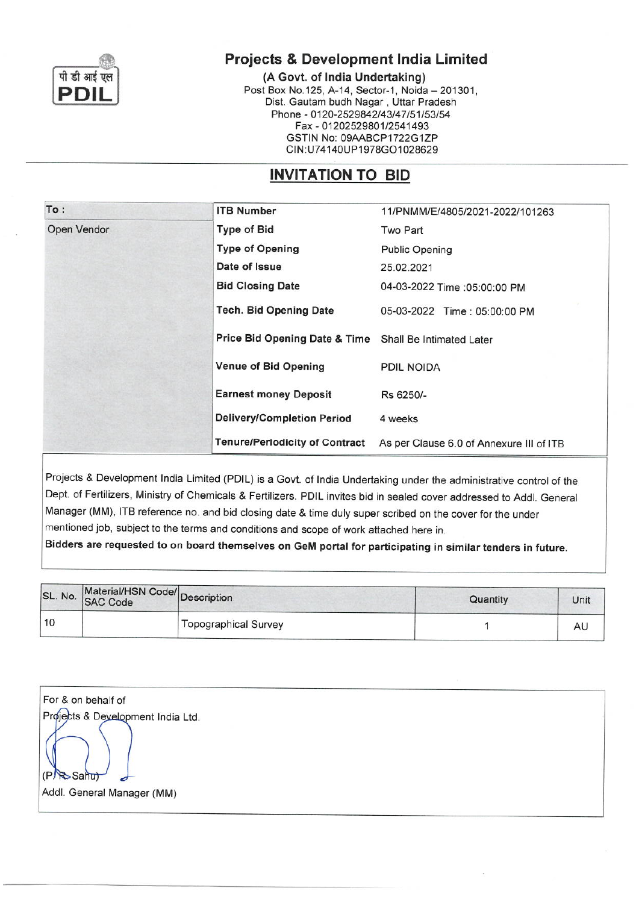

## **Projects & Development India Limited**

(A Govt. of India Undertaking) Post Box No.125, A-14, Sector-1, Noida - 201301, Dist. Gautam budh Nagar, Uttar Pradesh Phone - 0120-2529842/43/47/51/53/54 Fax - 01202529801/2541493 GSTIN No: 09AABCP1722G1ZP CIN:U74140UP1978GO1028629

## **INVITATION TO BID**

| To:         | <b>ITB Number</b>                                      | 11/PNMM/E/4805/2021-2022/101263          |
|-------------|--------------------------------------------------------|------------------------------------------|
| Open Vendor | <b>Type of Bid</b>                                     | Two Part                                 |
|             | <b>Type of Opening</b>                                 | <b>Public Opening</b>                    |
|             | Date of Issue                                          | 25.02.2021                               |
|             | <b>Bid Closing Date</b>                                | 04-03-2022 Time : 05:00:00 PM            |
|             | <b>Tech. Bid Opening Date</b>                          | 05-03-2022 Time: 05:00:00 PM             |
|             | Price Bid Opening Date & Time Shall Be Intimated Later |                                          |
|             | <b>Venue of Bid Opening</b>                            | PDIL NOIDA                               |
|             | <b>Earnest money Deposit</b>                           | Rs 6250/-                                |
|             | <b>Delivery/Completion Period</b>                      | 4 weeks                                  |
|             | <b>Tenure/Periodicity of Contract</b>                  | As per Clause 6.0 of Annexure III of ITB |

Projects & Development India Limited (PDIL) is a Govt. of India Undertaking under the administrative control of the Dept. of Fertilizers, Ministry of Chemicals & Fertilizers. PDIL invites bid in sealed cover addressed to Addl. General Manager (MM), ITB reference no. and bid closing date & time duly super scribed on the cover for the under mentioned job, subject to the terms and conditions and scope of work attached here in.

Bidders are requested to on board themselves on GeM portal for participating in similar tenders in future.

|    | SL. No. Material/HSN Code/ Description |                             | Quantity | Unit |
|----|----------------------------------------|-----------------------------|----------|------|
| 10 |                                        | <b>Topographical Survey</b> |          | AU   |

For & on behalf of Projects & Development India Ltd. (P<sub>R</sub>Sahu) Addl. General Manager (MM)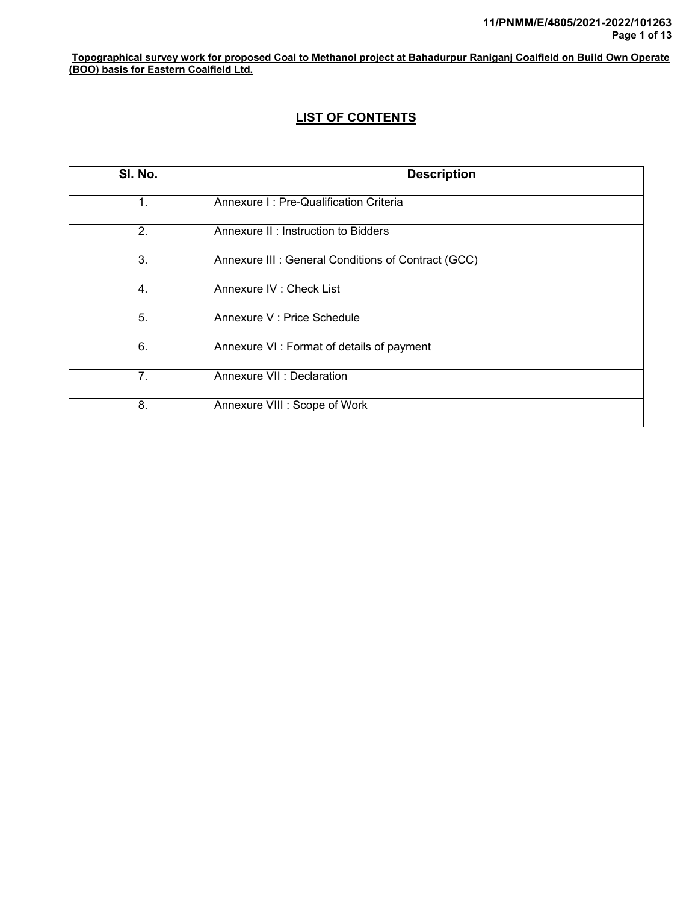## **LIST OF CONTENTS**

| SI. No. | <b>Description</b>                                  |
|---------|-----------------------------------------------------|
| 1.      | Annexure I: Pre-Qualification Criteria              |
| 2.      | Annexure II: Instruction to Bidders                 |
| 3.      | Annexure III : General Conditions of Contract (GCC) |
| 4.      | Annexure IV : Check List                            |
| 5.      | Annexure V : Price Schedule                         |
| 6.      | Annexure VI: Format of details of payment           |
| 7.      | Annexure VII : Declaration                          |
| 8.      | Annexure VIII : Scope of Work                       |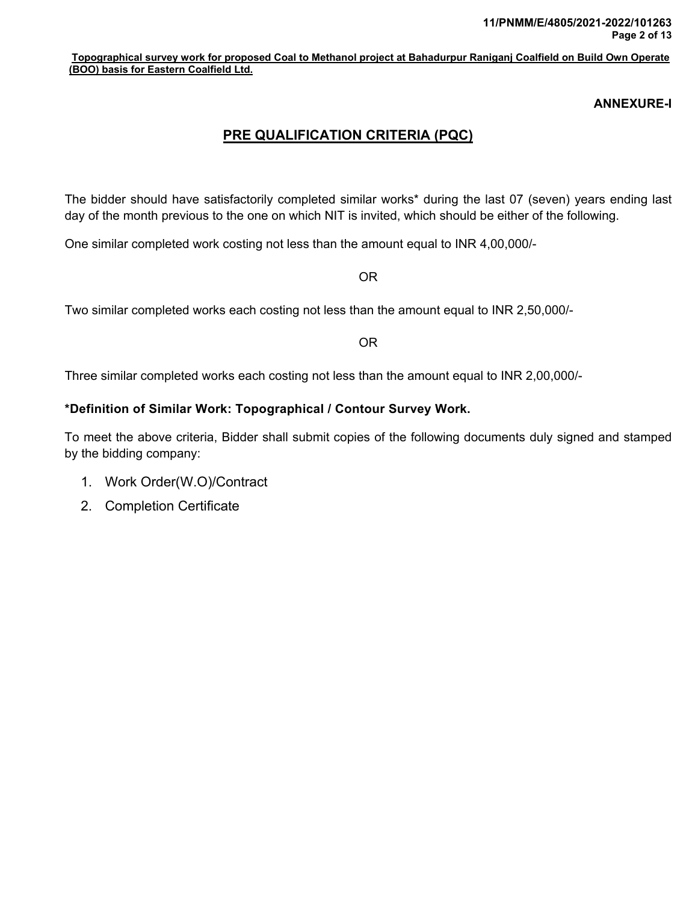### **ANNEXURE-I**

## **PRE QUALIFICATION CRITERIA (PQC)**

The bidder should have satisfactorily completed similar works\* during the last 07 (seven) years ending last day of the month previous to the one on which NIT is invited, which should be either of the following.

One similar completed work costing not less than the amount equal to INR 4,00,000/-

### OR

Two similar completed works each costing not less than the amount equal to INR 2,50,000/-

OR

Three similar completed works each costing not less than the amount equal to INR 2,00,000/-

### **\*Definition of Similar Work: Topographical / Contour Survey Work.**

To meet the above criteria, Bidder shall submit copies of the following documents duly signed and stamped by the bidding company:

- 1. Work Order(W.O)/Contract
- 2. Completion Certificate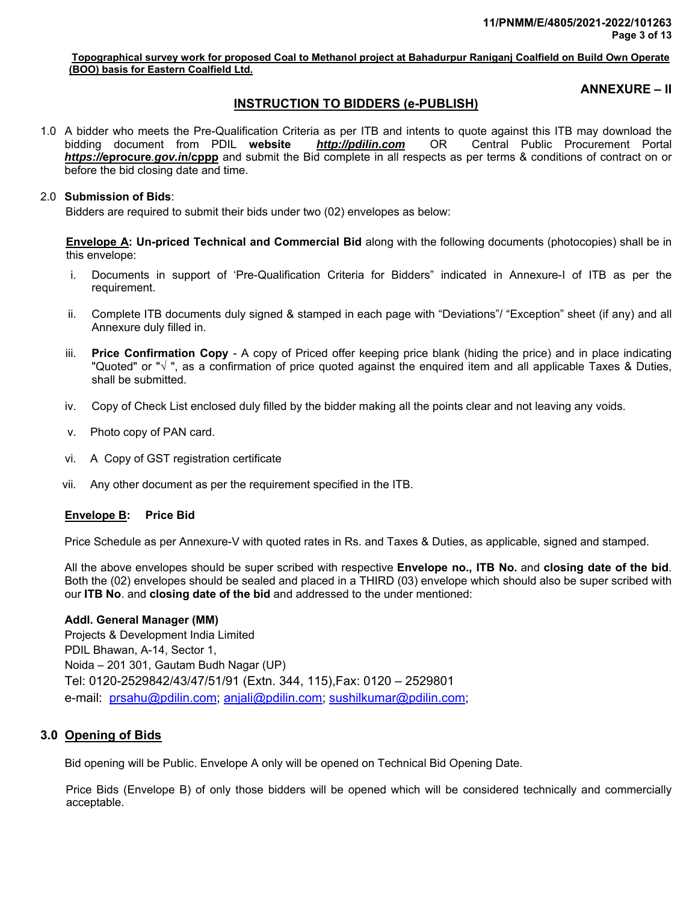### **ANNEXURE – II**

### **INSTRUCTION TO BIDDERS (e-PUBLISH)**

1.0 A bidder who meets the Pre-Qualification Criteria as per ITB and intents to quote against this ITB may download the bidding document from PDIL **website** *http://pdilin.com* OR Central Public Procurement Portal *https://***eprocure***.gov.i***n/cppp** and submit the Bid complete in all respects as per terms & conditions of contract on or before the bid closing date and time.

### 2.0 **Submission of Bids**:

Bidders are required to submit their bids under two (02) envelopes as below:

 **Envelope A: Un-priced Technical and Commercial Bid** along with the following documents (photocopies) shall be in this envelope:

- i. Documents in support of 'Pre-Qualification Criteria for Bidders" indicated in Annexure-I of ITB as per the requirement.
- ii. Complete ITB documents duly signed & stamped in each page with "Deviations"/ "Exception" sheet (if any) and all Annexure duly filled in.
- iii. **Price Confirmation Copy**  A copy of Priced offer keeping price blank (hiding the price) and in place indicating "Quoted" or "√ ", as a confirmation of price quoted against the enquired item and all applicable Taxes & Duties, shall be submitted.
- iv. Copy of Check List enclosed duly filled by the bidder making all the points clear and not leaving any voids.
- v. Photo copy of PAN card.
- vi. A Copy of GST registration certificate
- vii. Any other document as per the requirement specified in the ITB.

### **Envelope B: Price Bid**

Price Schedule as per Annexure-V with quoted rates in Rs. and Taxes & Duties, as applicable, signed and stamped.

All the above envelopes should be super scribed with respective **Envelope no., ITB No.** and **closing date of the bid**. Both the (02) envelopes should be sealed and placed in a THIRD (03) envelope which should also be super scribed with our **ITB No**. and **closing date of the bid** and addressed to the under mentioned:

#### **Addl. General Manager (MM)**

Projects & Development India Limited PDIL Bhawan, A-14, Sector 1, Noida – 201 301, Gautam Budh Nagar (UP) Tel: 0120-2529842/43/47/51/91 (Extn. 344, 115),Fax: 0120 – 2529801 e-mail: prsahu@pdilin.com; anjali@pdilin.com; sushilkumar@pdilin.com;

### **3.0 Opening of Bids**

Bid opening will be Public. Envelope A only will be opened on Technical Bid Opening Date.

 Price Bids (Envelope B) of only those bidders will be opened which will be considered technically and commercially acceptable.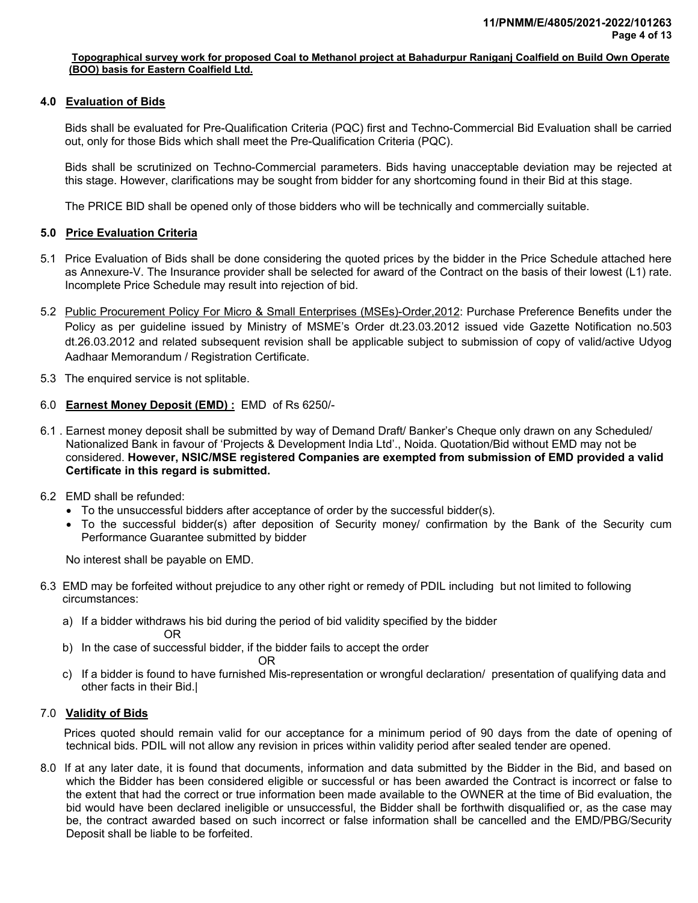### **4.0 Evaluation of Bids**

Bids shall be evaluated for Pre-Qualification Criteria (PQC) first and Techno-Commercial Bid Evaluation shall be carried out, only for those Bids which shall meet the Pre-Qualification Criteria (PQC).

 Bids shall be scrutinized on Techno-Commercial parameters. Bids having unacceptable deviation may be rejected at this stage. However, clarifications may be sought from bidder for any shortcoming found in their Bid at this stage.

The PRICE BID shall be opened only of those bidders who will be technically and commercially suitable.

### **5.0 Price Evaluation Criteria**

- 5.1 Price Evaluation of Bids shall be done considering the quoted prices by the bidder in the Price Schedule attached here as Annexure-V. The Insurance provider shall be selected for award of the Contract on the basis of their lowest (L1) rate. Incomplete Price Schedule may result into rejection of bid.
- 5.2 Public Procurement Policy For Micro & Small Enterprises (MSEs)-Order,2012: Purchase Preference Benefits under the Policy as per guideline issued by Ministry of MSME's Order dt.23.03.2012 issued vide Gazette Notification no.503 dt.26.03.2012 and related subsequent revision shall be applicable subject to submission of copy of valid/active Udyog Aadhaar Memorandum / Registration Certificate.
- 5.3 The enquired service is not splitable.
- 6.0 **Earnest Money Deposit (EMD) :** EMD of Rs 6250/-
- 6.1 . Earnest money deposit shall be submitted by way of Demand Draft/ Banker's Cheque only drawn on any Scheduled/ Nationalized Bank in favour of 'Projects & Development India Ltd'., Noida. Quotation/Bid without EMD may not be considered. **However, NSIC/MSE registered Companies are exempted from submission of EMD provided a valid Certificate in this regard is submitted.**
- 6.2 EMD shall be refunded:
	- To the unsuccessful bidders after acceptance of order by the successful bidder(s).
	- To the successful bidder(s) after deposition of Security money/ confirmation by the Bank of the Security cum Performance Guarantee submitted by bidder

No interest shall be payable on EMD.

- 6.3 EMD may be forfeited without prejudice to any other right or remedy of PDIL including but not limited to following circumstances:
	- a) If a bidder withdraws his bid during the period of bid validity specified by the bidder
		- OR
	- b) In the case of successful bidder, if the bidder fails to accept the order
- **OR** Service Service Service Service Service Service Service Service Service Service Service Service Service Service Service Service Service Service Service Service Service Service Service Service Service Service Service S c) If a bidder is found to have furnished Mis-representation or wrongful declaration/ presentation of qualifying data and other facts in their Bid.|

#### 7.0 **Validity of Bids**

 Prices quoted should remain valid for our acceptance for a minimum period of 90 days from the date of opening of technical bids. PDIL will not allow any revision in prices within validity period after sealed tender are opened.

8.0 If at any later date, it is found that documents, information and data submitted by the Bidder in the Bid, and based on which the Bidder has been considered eligible or successful or has been awarded the Contract is incorrect or false to the extent that had the correct or true information been made available to the OWNER at the time of Bid evaluation, the bid would have been declared ineligible or unsuccessful, the Bidder shall be forthwith disqualified or, as the case may be, the contract awarded based on such incorrect or false information shall be cancelled and the EMD/PBG/Security Deposit shall be liable to be forfeited.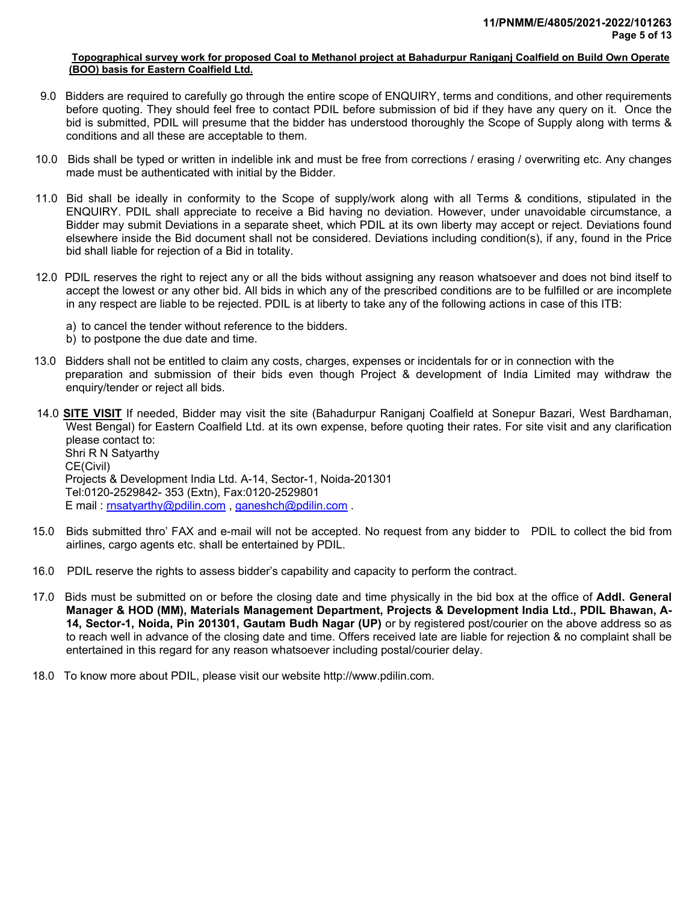- 9.0 Bidders are required to carefully go through the entire scope of ENQUIRY, terms and conditions, and other requirements before quoting. They should feel free to contact PDIL before submission of bid if they have any query on it. Once the bid is submitted, PDIL will presume that the bidder has understood thoroughly the Scope of Supply along with terms & conditions and all these are acceptable to them.
- 10.0 Bids shall be typed or written in indelible ink and must be free from corrections / erasing / overwriting etc. Any changes made must be authenticated with initial by the Bidder.
- 11.0 Bid shall be ideally in conformity to the Scope of supply/work along with all Terms & conditions, stipulated in the ENQUIRY. PDIL shall appreciate to receive a Bid having no deviation. However, under unavoidable circumstance, a Bidder may submit Deviations in a separate sheet, which PDIL at its own liberty may accept or reject. Deviations found elsewhere inside the Bid document shall not be considered. Deviations including condition(s), if any, found in the Price bid shall liable for rejection of a Bid in totality.
- 12.0 PDIL reserves the right to reject any or all the bids without assigning any reason whatsoever and does not bind itself to accept the lowest or any other bid. All bids in which any of the prescribed conditions are to be fulfilled or are incomplete in any respect are liable to be rejected. PDIL is at liberty to take any of the following actions in case of this ITB:
	- a) to cancel the tender without reference to the bidders.
	- b) to postpone the due date and time.
- 13.0 Bidders shall not be entitled to claim any costs, charges, expenses or incidentals for or in connection with the preparation and submission of their bids even though Project & development of India Limited may withdraw the enquiry/tender or reject all bids.
- 14.0 **SITE VISIT** If needed, Bidder may visit the site (Bahadurpur Raniganj Coalfield at Sonepur Bazari, West Bardhaman, West Bengal) for Eastern Coalfield Ltd. at its own expense, before quoting their rates. For site visit and any clarification please contact to: Shri R N Satyarthy CE(Civil) Projects & Development India Ltd. A-14, Sector-1, Noida-201301 Tel:0120-2529842- 353 (Extn), Fax:0120-2529801 E mail : rnsatyarthy@pdilin.com , ganeshch@pdilin.com .
- 15.0 Bids submitted thro' FAX and e-mail will not be accepted. No request from any bidder to PDIL to collect the bid from airlines, cargo agents etc. shall be entertained by PDIL.
- 16.0 PDIL reserve the rights to assess bidder's capability and capacity to perform the contract.
- 17.0 Bids must be submitted on or before the closing date and time physically in the bid box at the office of **Addl. General Manager & HOD (MM), Materials Management Department, Projects & Development India Ltd., PDIL Bhawan, A-14, Sector-1, Noida, Pin 201301, Gautam Budh Nagar (UP)** or by registered post/courier on the above address so as to reach well in advance of the closing date and time. Offers received late are liable for rejection & no complaint shall be entertained in this regard for any reason whatsoever including postal/courier delay.
- 18.0 To know more about PDIL, please visit our website http://www.pdilin.com.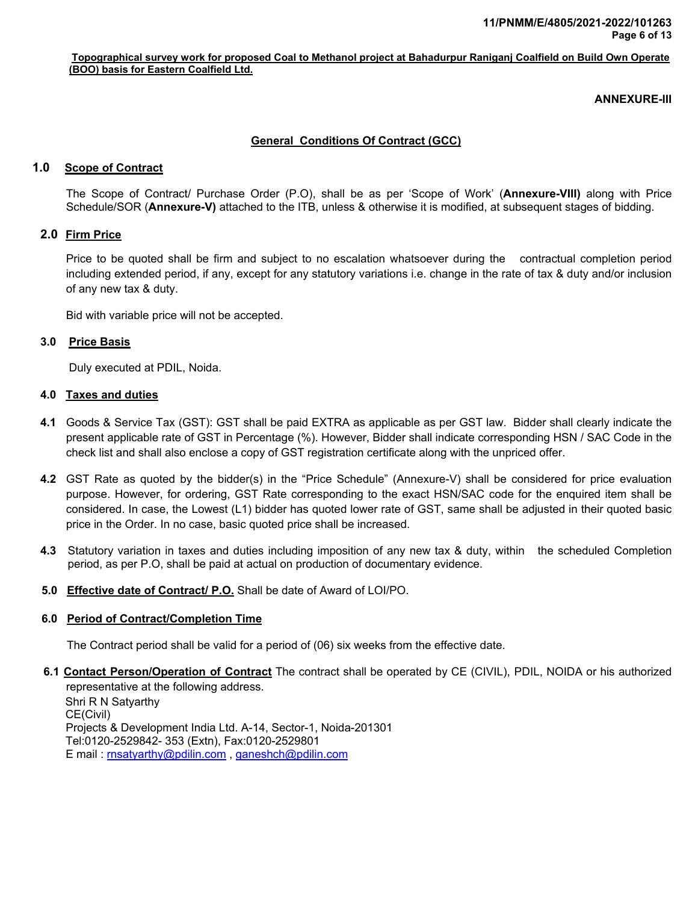### **ANNEXURE-III**

### **General Conditions Of Contract (GCC)**

#### **1.0 Scope of Contract**

The Scope of Contract/ Purchase Order (P.O), shall be as per 'Scope of Work' (**Annexure-VIII)** along with Price Schedule/SOR (**Annexure-V)** attached to the ITB, unless & otherwise it is modified, at subsequent stages of bidding.

### **2.0 Firm Price**

Price to be quoted shall be firm and subject to no escalation whatsoever during the contractual completion period including extended period, if any, except for any statutory variations i.e. change in the rate of tax & duty and/or inclusion of any new tax & duty.

Bid with variable price will not be accepted.

#### **3.0 Price Basis**

Duly executed at PDIL, Noida.

#### **4.0 Taxes and duties**

- **4.1** Goods & Service Tax (GST): GST shall be paid EXTRA as applicable as per GST law. Bidder shall clearly indicate the present applicable rate of GST in Percentage (%). However, Bidder shall indicate corresponding HSN / SAC Code in the check list and shall also enclose a copy of GST registration certificate along with the unpriced offer.
- **4.2** GST Rate as quoted by the bidder(s) in the "Price Schedule" (Annexure-V) shall be considered for price evaluation purpose. However, for ordering, GST Rate corresponding to the exact HSN/SAC code for the enquired item shall be considered. In case, the Lowest (L1) bidder has quoted lower rate of GST, same shall be adjusted in their quoted basic price in the Order. In no case, basic quoted price shall be increased.
- **4.3** Statutory variation in taxes and duties including imposition of any new tax & duty, within the scheduled Completion period, as per P.O, shall be paid at actual on production of documentary evidence.
- **5.0 Effective date of Contract/ P.O.** Shall be date of Award of LOI/PO.

#### **6.0 Period of Contract/Completion Time**

The Contract period shall be valid for a period of (06) six weeks from the effective date.

 **6.1 Contact Person/Operation of Contract** The contract shall be operated by CE (CIVIL), PDIL, NOIDA or his authorized representative at the following address. Shri R N Satyarthy

 CE(Civil) Projects & Development India Ltd. A-14, Sector-1, Noida-201301 Tel:0120-2529842- 353 (Extn), Fax:0120-2529801 E mail : rnsatyarthy@pdilin.com , ganeshch@pdilin.com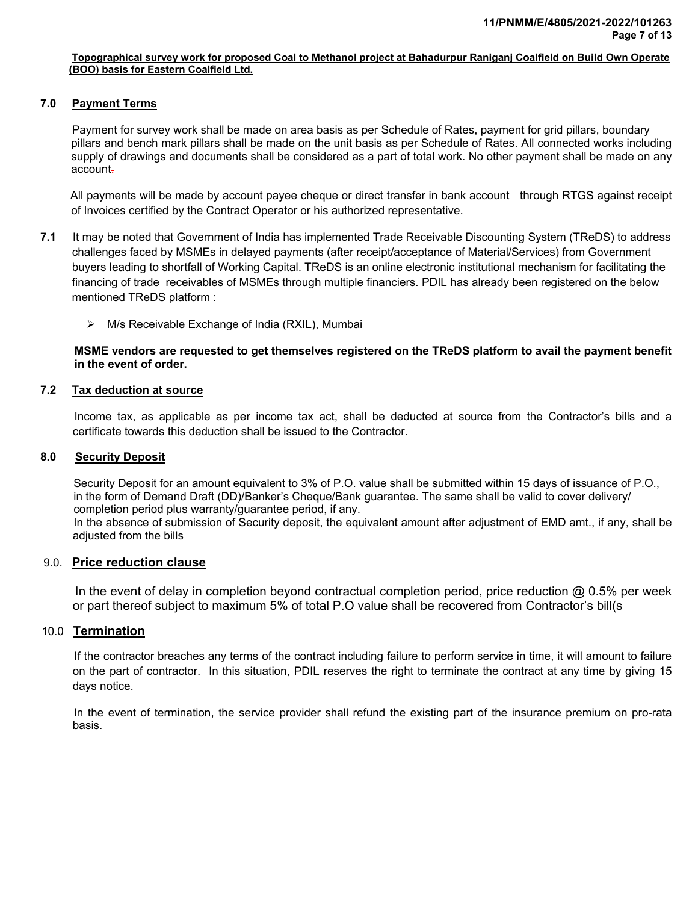### **7.0 Payment Terms**

 Payment for survey work shall be made on area basis as per Schedule of Rates, payment for grid pillars, boundary pillars and bench mark pillars shall be made on the unit basis as per Schedule of Rates. All connected works including supply of drawings and documents shall be considered as a part of total work. No other payment shall be made on any account.

 All payments will be made by account payee cheque or direct transfer in bank account through RTGS against receipt of Invoices certified by the Contract Operator or his authorized representative.

- **7.1** It may be noted that Government of India has implemented Trade Receivable Discounting System (TReDS) to address challenges faced by MSMEs in delayed payments (after receipt/acceptance of Material/Services) from Government buyers leading to shortfall of Working Capital. TReDS is an online electronic institutional mechanism for facilitating the financing of trade receivables of MSMEs through multiple financiers. PDIL has already been registered on the below mentioned TReDS platform :
	- $\triangleright$  M/s Receivable Exchange of India (RXIL), Mumbai

### **MSME vendors are requested to get themselves registered on the TReDS platform to avail the payment benefit in the event of order.**

#### **7.2 Tax deduction at source**

 Income tax, as applicable as per income tax act, shall be deducted at source from the Contractor's bills and a certificate towards this deduction shall be issued to the Contractor.

#### **8.0 Security Deposit**

Security Deposit for an amount equivalent to 3% of P.O. value shall be submitted within 15 days of issuance of P.O., in the form of Demand Draft (DD)/Banker's Cheque/Bank guarantee. The same shall be valid to cover delivery/ completion period plus warranty/guarantee period, if any.

 In the absence of submission of Security deposit, the equivalent amount after adjustment of EMD amt., if any, shall be adjusted from the bills

#### 9.0. **Price reduction clause**

In the event of delay in completion beyond contractual completion period, price reduction  $\omega$  0.5% per week or part thereof subject to maximum 5% of total P.O value shall be recovered from Contractor's bill(s

#### 10.0 **Termination**

 If the contractor breaches any terms of the contract including failure to perform service in time, it will amount to failure on the part of contractor. In this situation, PDIL reserves the right to terminate the contract at any time by giving 15 days notice.

 In the event of termination, the service provider shall refund the existing part of the insurance premium on pro-rata basis.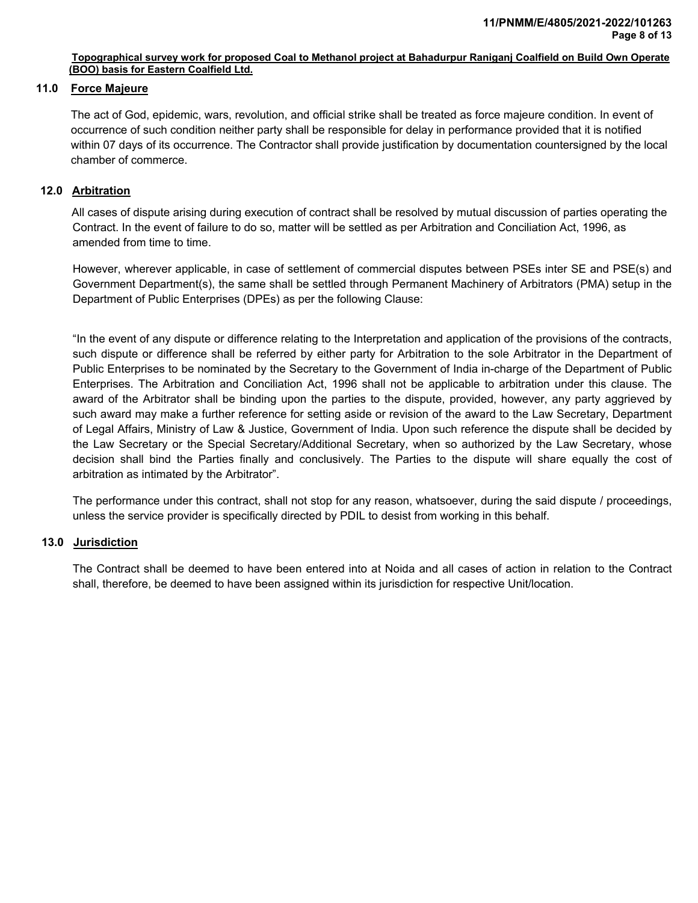### **11.0 Force Majeure**

 The act of God, epidemic, wars, revolution, and official strike shall be treated as force majeure condition. In event of occurrence of such condition neither party shall be responsible for delay in performance provided that it is notified within 07 days of its occurrence. The Contractor shall provide justification by documentation countersigned by the local chamber of commerce.

### **12.0 Arbitration**

 All cases of dispute arising during execution of contract shall be resolved by mutual discussion of parties operating the Contract. In the event of failure to do so, matter will be settled as per Arbitration and Conciliation Act, 1996, as amended from time to time.

 However, wherever applicable, in case of settlement of commercial disputes between PSEs inter SE and PSE(s) and Government Department(s), the same shall be settled through Permanent Machinery of Arbitrators (PMA) setup in the Department of Public Enterprises (DPEs) as per the following Clause:

 "In the event of any dispute or difference relating to the Interpretation and application of the provisions of the contracts, such dispute or difference shall be referred by either party for Arbitration to the sole Arbitrator in the Department of Public Enterprises to be nominated by the Secretary to the Government of India in-charge of the Department of Public Enterprises. The Arbitration and Conciliation Act, 1996 shall not be applicable to arbitration under this clause. The award of the Arbitrator shall be binding upon the parties to the dispute, provided, however, any party aggrieved by such award may make a further reference for setting aside or revision of the award to the Law Secretary, Department of Legal Affairs, Ministry of Law & Justice, Government of India. Upon such reference the dispute shall be decided by the Law Secretary or the Special Secretary/Additional Secretary, when so authorized by the Law Secretary, whose decision shall bind the Parties finally and conclusively. The Parties to the dispute will share equally the cost of arbitration as intimated by the Arbitrator".

 The performance under this contract, shall not stop for any reason, whatsoever, during the said dispute / proceedings, unless the service provider is specifically directed by PDIL to desist from working in this behalf.

#### **13.0 Jurisdiction**

 The Contract shall be deemed to have been entered into at Noida and all cases of action in relation to the Contract shall, therefore, be deemed to have been assigned within its jurisdiction for respective Unit/location.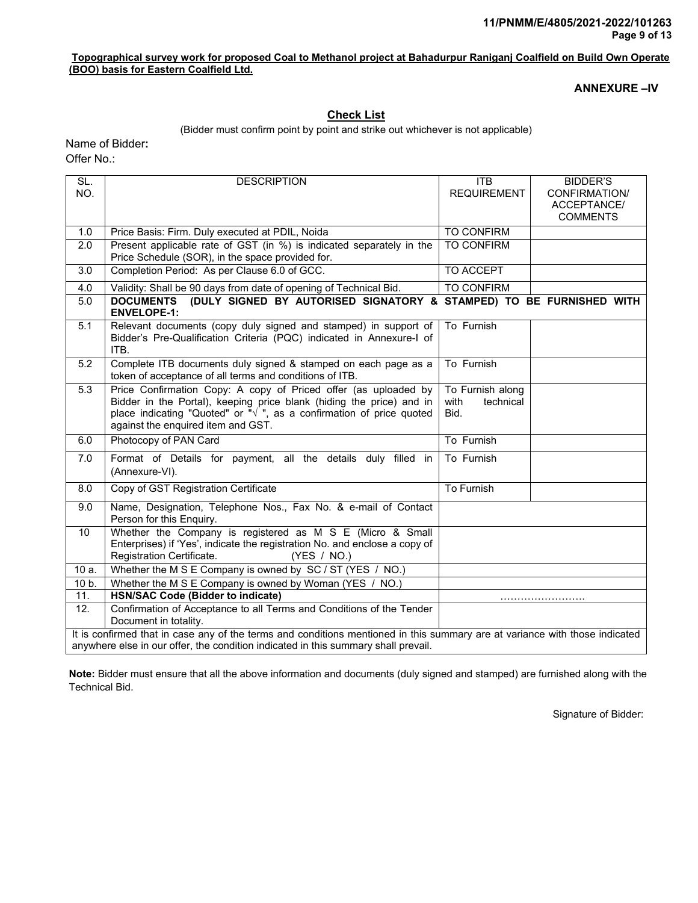### **ANNEXURE –IV**

### **Check List**

(Bidder must confirm point by point and strike out whichever is not applicable)

Name of Bidder**:** 

Offer No.:

| SL.     | <b>DESCRIPTION</b>                                                                                                                                                                                                | <b>ITB</b>         | <b>BIDDER'S</b> |
|---------|-------------------------------------------------------------------------------------------------------------------------------------------------------------------------------------------------------------------|--------------------|-----------------|
| NO.     |                                                                                                                                                                                                                   | <b>REQUIREMENT</b> | CONFIRMATION/   |
|         |                                                                                                                                                                                                                   |                    | ACCEPTANCE/     |
|         |                                                                                                                                                                                                                   |                    | <b>COMMENTS</b> |
| 1.0     | Price Basis: Firm. Duly executed at PDIL, Noida                                                                                                                                                                   | <b>TO CONFIRM</b>  |                 |
| 2.0     | Present applicable rate of GST (in %) is indicated separately in the                                                                                                                                              | <b>TO CONFIRM</b>  |                 |
|         | Price Schedule (SOR), in the space provided for.                                                                                                                                                                  |                    |                 |
| 3.0     | Completion Period: As per Clause 6.0 of GCC.                                                                                                                                                                      | <b>TO ACCEPT</b>   |                 |
| 4.0     | Validity: Shall be 90 days from date of opening of Technical Bid.                                                                                                                                                 | <b>TO CONFIRM</b>  |                 |
| 5.0     | (DULY SIGNED BY AUTORISED SIGNATORY & STAMPED) TO BE FURNISHED WITH<br><b>DOCUMENTS</b><br><b>ENVELOPE-1:</b>                                                                                                     |                    |                 |
| 5.1     | Relevant documents (copy duly signed and stamped) in support of                                                                                                                                                   | To Furnish         |                 |
|         | Bidder's Pre-Qualification Criteria (PQC) indicated in Annexure-I of                                                                                                                                              |                    |                 |
|         | ITB.                                                                                                                                                                                                              |                    |                 |
| 5.2     | Complete ITB documents duly signed & stamped on each page as a<br>token of acceptance of all terms and conditions of ITB.                                                                                         | To Furnish         |                 |
| 5.3     | Price Confirmation Copy: A copy of Priced offer (as uploaded by                                                                                                                                                   | To Furnish along   |                 |
|         | Bidder in the Portal), keeping price blank (hiding the price) and in                                                                                                                                              | with<br>technical  |                 |
|         | place indicating "Quoted" or $\sqrt{ }$ ", as a confirmation of price quoted                                                                                                                                      | Bid.               |                 |
|         | against the enquired item and GST.                                                                                                                                                                                |                    |                 |
| 6.0     | Photocopy of PAN Card                                                                                                                                                                                             | To Furnish         |                 |
| 7.0     | Format of Details for payment, all the details duly filled in                                                                                                                                                     | To Furnish         |                 |
|         | (Annexure-VI).                                                                                                                                                                                                    |                    |                 |
| 8.0     | Copy of GST Registration Certificate                                                                                                                                                                              | <b>To Furnish</b>  |                 |
|         |                                                                                                                                                                                                                   |                    |                 |
| 9.0     | Name, Designation, Telephone Nos., Fax No. & e-mail of Contact<br>Person for this Enquiry.                                                                                                                        |                    |                 |
| 10      | Whether the Company is registered as M S E (Micro & Small                                                                                                                                                         |                    |                 |
|         | Enterprises) if 'Yes', indicate the registration No. and enclose a copy of                                                                                                                                        |                    |                 |
|         | Registration Certificate.<br>(YES / NO.)                                                                                                                                                                          |                    |                 |
| 10 a.   | Whether the M S E Company is owned by SC / ST (YES / NO.)                                                                                                                                                         |                    |                 |
| $10b$ . | Whether the M S E Company is owned by Woman (YES / NO.)                                                                                                                                                           |                    |                 |
| 11.     | HSN/SAC Code (Bidder to indicate)                                                                                                                                                                                 |                    |                 |
| 12.     | Confirmation of Acceptance to all Terms and Conditions of the Tender<br>Document in totality.                                                                                                                     |                    |                 |
|         |                                                                                                                                                                                                                   |                    |                 |
|         | It is confirmed that in case any of the terms and conditions mentioned in this summary are at variance with those indicated<br>anywhere else in our offer, the condition indicated in this summary shall prevail. |                    |                 |
|         |                                                                                                                                                                                                                   |                    |                 |

 **Note:** Bidder must ensure that all the above information and documents (duly signed and stamped) are furnished along with the Technical Bid.

Signature of Bidder: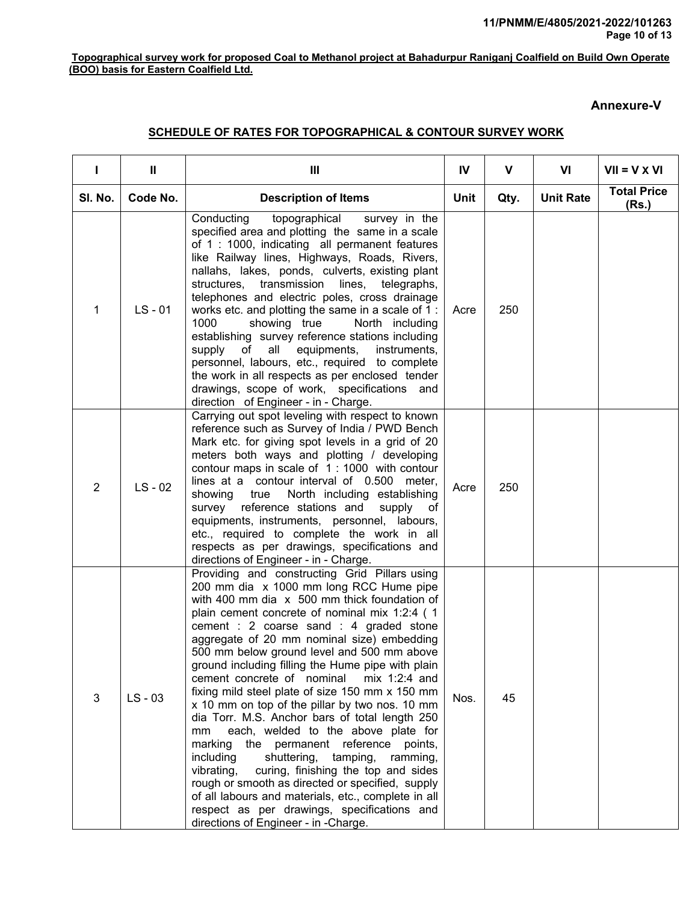### **Annexure-V**

### **SCHEDULE OF RATES FOR TOPOGRAPHICAL & CONTOUR SURVEY WORK**

| L       | $\mathbf{II}$ | Ш                                                                                                                                                                                                                                                                                                                                                                                                                                                                                                                                                                                                                                                                                                                                                                                                                                                                                                                                                                                             | IV          | $\mathsf{V}$ | VI               | $VII = V X VI$              |
|---------|---------------|-----------------------------------------------------------------------------------------------------------------------------------------------------------------------------------------------------------------------------------------------------------------------------------------------------------------------------------------------------------------------------------------------------------------------------------------------------------------------------------------------------------------------------------------------------------------------------------------------------------------------------------------------------------------------------------------------------------------------------------------------------------------------------------------------------------------------------------------------------------------------------------------------------------------------------------------------------------------------------------------------|-------------|--------------|------------------|-----------------------------|
| SI. No. | Code No.      | <b>Description of Items</b>                                                                                                                                                                                                                                                                                                                                                                                                                                                                                                                                                                                                                                                                                                                                                                                                                                                                                                                                                                   | <b>Unit</b> | Qty.         | <b>Unit Rate</b> | <b>Total Price</b><br>(Rs.) |
| 1       | $LS - 01$     | Conducting<br>topographical<br>survey in the<br>specified area and plotting the same in a scale<br>of 1: 1000, indicating all permanent features<br>like Railway lines, Highways, Roads, Rivers,<br>nallahs, lakes, ponds, culverts, existing plant<br>structures, transmission lines,<br>telegraphs,<br>telephones and electric poles, cross drainage<br>works etc. and plotting the same in a scale of 1 :<br>1000<br>showing true<br>North including<br>establishing survey reference stations including<br>supply<br>of<br>all<br>equipments,<br>instruments,<br>personnel, labours, etc., required to complete<br>the work in all respects as per enclosed tender<br>drawings, scope of work, specifications<br>and<br>direction of Engineer - in - Charge.                                                                                                                                                                                                                              | Acre        | 250          |                  |                             |
| 2       | $LS - 02$     | Carrying out spot leveling with respect to known<br>reference such as Survey of India / PWD Bench<br>Mark etc. for giving spot levels in a grid of 20<br>meters both ways and plotting / developing<br>contour maps in scale of 1:1000 with contour<br>lines at a contour interval of 0.500 meter,<br>showing<br>North including establishing<br>true<br>reference stations and<br>survey<br>supply<br>ot<br>equipments, instruments, personnel, labours,<br>etc., required to complete the work in all<br>respects as per drawings, specifications and<br>directions of Engineer - in - Charge.                                                                                                                                                                                                                                                                                                                                                                                              | Acre        | 250          |                  |                             |
| 3       | $LS - 03$     | Providing and constructing Grid Pillars using<br>200 mm dia x 1000 mm long RCC Hume pipe<br>with 400 mm dia x 500 mm thick foundation of<br>plain cement concrete of nominal mix 1:2:4 (1<br>cement : 2 coarse sand : 4 graded stone<br>aggregate of 20 mm nominal size) embedding<br>500 mm below ground level and 500 mm above<br>ground including filling the Hume pipe with plain<br>cement concrete of nominal<br>mix $1:2:4$ and<br>fixing mild steel plate of size 150 mm x 150 mm<br>x 10 mm on top of the pillar by two nos. 10 mm<br>dia Torr. M.S. Anchor bars of total length 250<br>each, welded to the above plate for<br>mm<br>marking<br>the permanent reference points,<br>including<br>shuttering, tamping, ramming,<br>curing, finishing the top and sides<br>vibrating,<br>rough or smooth as directed or specified, supply<br>of all labours and materials, etc., complete in all<br>respect as per drawings, specifications and<br>directions of Engineer - in -Charge. | Nos.        | 45           |                  |                             |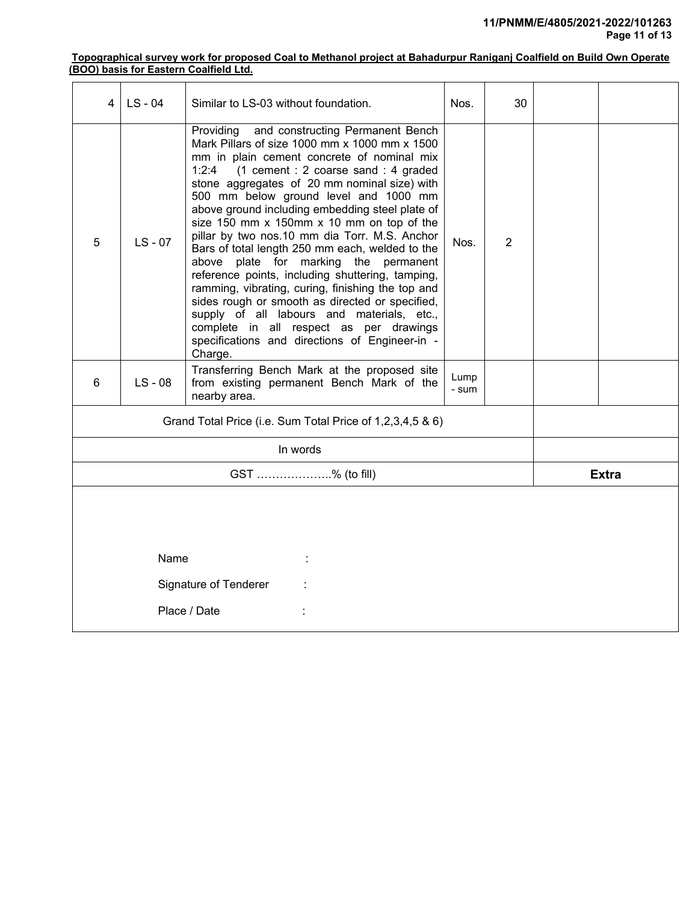| 4                                             | $LS - 04$ | Similar to LS-03 without foundation.                                                                                                                                                                                                                                                                                                                                                                                                                                                                                                                                                                                                                                                                                                                                                                                                                    | Nos.          | 30 |  |              |
|-----------------------------------------------|-----------|---------------------------------------------------------------------------------------------------------------------------------------------------------------------------------------------------------------------------------------------------------------------------------------------------------------------------------------------------------------------------------------------------------------------------------------------------------------------------------------------------------------------------------------------------------------------------------------------------------------------------------------------------------------------------------------------------------------------------------------------------------------------------------------------------------------------------------------------------------|---------------|----|--|--------------|
| 5                                             | $LS - 07$ | and constructing Permanent Bench<br>Providing<br>Mark Pillars of size 1000 mm x 1000 mm x 1500<br>mm in plain cement concrete of nominal mix<br>1:2:4<br>$(1$ cement : 2 coarse sand : 4 graded<br>stone aggregates of 20 mm nominal size) with<br>500 mm below ground level and 1000 mm<br>above ground including embedding steel plate of<br>size 150 mm x 150mm x 10 mm on top of the<br>pillar by two nos.10 mm dia Torr. M.S. Anchor<br>Bars of total length 250 mm each, welded to the<br>above plate for marking the permanent<br>reference points, including shuttering, tamping,<br>ramming, vibrating, curing, finishing the top and<br>sides rough or smooth as directed or specified,<br>supply of all labours and materials, etc.,<br>complete in all respect as per drawings<br>specifications and directions of Engineer-in -<br>Charge. | Nos.          | 2  |  |              |
| 6                                             | $LS - 08$ | Transferring Bench Mark at the proposed site<br>from existing permanent Bench Mark of the<br>nearby area.                                                                                                                                                                                                                                                                                                                                                                                                                                                                                                                                                                                                                                                                                                                                               | Lump<br>- sum |    |  |              |
|                                               |           | Grand Total Price (i.e. Sum Total Price of 1,2,3,4,5 & 6)                                                                                                                                                                                                                                                                                                                                                                                                                                                                                                                                                                                                                                                                                                                                                                                               |               |    |  |              |
|                                               |           | In words                                                                                                                                                                                                                                                                                                                                                                                                                                                                                                                                                                                                                                                                                                                                                                                                                                                |               |    |  |              |
|                                               |           | GST % (to fill)                                                                                                                                                                                                                                                                                                                                                                                                                                                                                                                                                                                                                                                                                                                                                                                                                                         |               |    |  | <b>Extra</b> |
| Name<br>Signature of Tenderer<br>Place / Date |           |                                                                                                                                                                                                                                                                                                                                                                                                                                                                                                                                                                                                                                                                                                                                                                                                                                                         |               |    |  |              |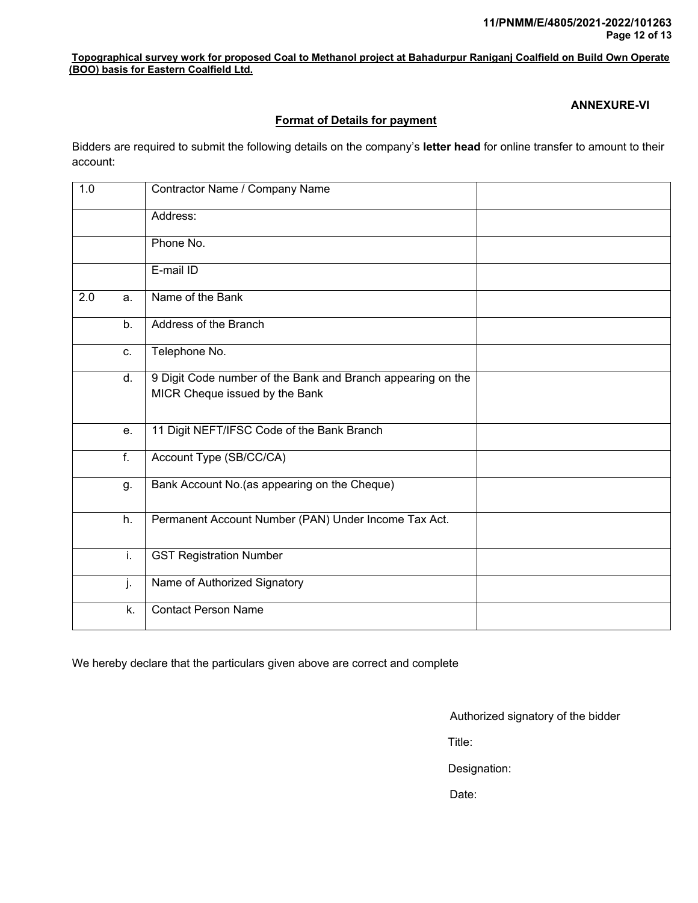### **ANNEXURE-VI**

#### **Format of Details for payment**

 Bidders are required to submit the following details on the company's **letter head** for online transfer to amount to their account:

| 1.0 |    | Contractor Name / Company Name                                                                |  |
|-----|----|-----------------------------------------------------------------------------------------------|--|
|     |    | Address:                                                                                      |  |
|     |    | Phone No.                                                                                     |  |
|     |    | E-mail ID                                                                                     |  |
| 2.0 | a. | Name of the Bank                                                                              |  |
|     | b. | Address of the Branch                                                                         |  |
|     | C. | Telephone No.                                                                                 |  |
|     | d. | 9 Digit Code number of the Bank and Branch appearing on the<br>MICR Cheque issued by the Bank |  |
|     | e. | 11 Digit NEFT/IFSC Code of the Bank Branch                                                    |  |
|     | f. | Account Type (SB/CC/CA)                                                                       |  |
|     | g. | Bank Account No. (as appearing on the Cheque)                                                 |  |
|     | h. | Permanent Account Number (PAN) Under Income Tax Act.                                          |  |
|     | i. | <b>GST Registration Number</b>                                                                |  |
|     | j. | Name of Authorized Signatory                                                                  |  |
|     | k. | <b>Contact Person Name</b>                                                                    |  |

We hereby declare that the particulars given above are correct and complete

Authorized signatory of the bidder

Title:

Designation:

Date: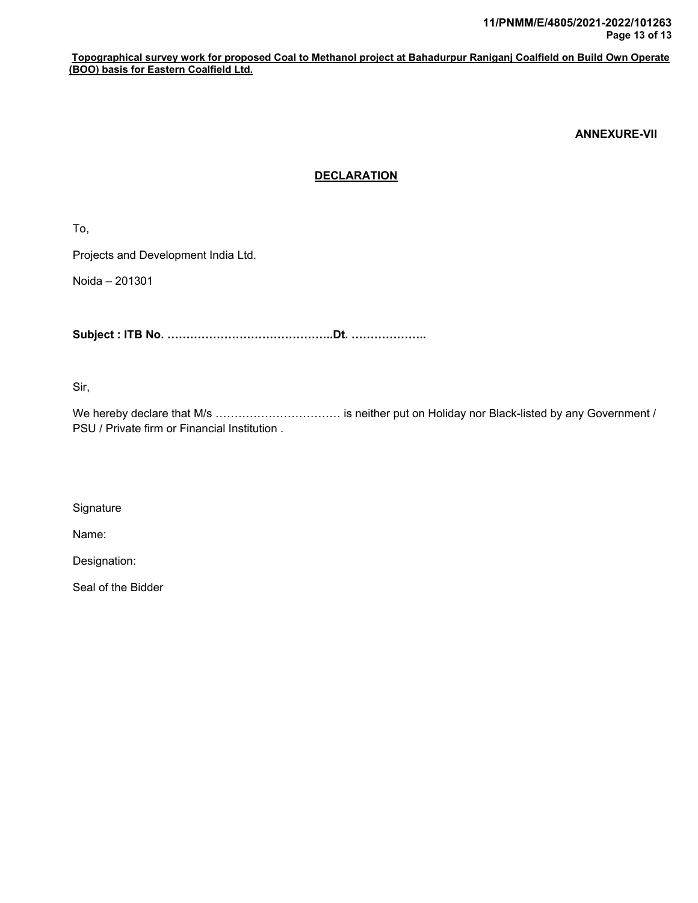**ANNEXURE-VII** 

### **DECLARATION**

To,

Projects and Development India Ltd.

Noida – 201301

**Subject : ITB No. ……………………………………..Dt. ………………..** 

Sir,

We hereby declare that M/s .................................. is neither put on Holiday nor Black-listed by any Government / PSU / Private firm or Financial Institution .

**Signature** 

Name:

Designation:

Seal of the Bidder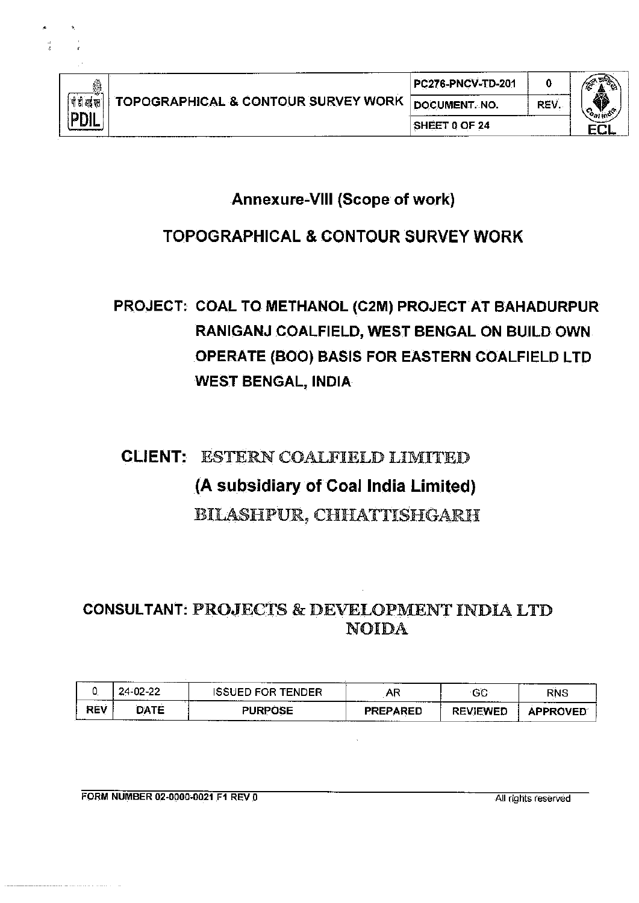

**Annexure-VIII (Scope of work)** 

# **TOPOGRAPHICAL & CONTOUR SURVEY WORK**

# PROJECT: COAL TO METHANOL (C2M) PROJECT AT BAHADURPUR RANIGANJ COALFIELD, WEST BENGAL ON BUILD OWN OPERATE (BOO) BASIS FOR EASTERN COALFIELD LTD **WEST BENGAL, INDIA**

# **CLIENT: ESTERN COALFIELD LIMITED** (A subsidiary of Coal India Limited) BILASHPUR, CHHATTISHGARH

## CONSULTANT: PROJECTS & DEVELOPMENT INDIA LTD **NOIDA**

| ______<br>U<br>------                           | -----<br>----------<br>n c<br>------<br>_____ | <br>----<br>--------<br>ם⊐ו<br>ΠP.<br>m<br>---------<br>---------- | ----<br>ΔD.<br>MA.<br>--------   | -----<br>GC<br>--------                                                                                                                                                                                                       | ----<br>__<br>$\cdots$<br><b>RNS</b> |
|-------------------------------------------------|-----------------------------------------------|--------------------------------------------------------------------|----------------------------------|-------------------------------------------------------------------------------------------------------------------------------------------------------------------------------------------------------------------------------|--------------------------------------|
| <b>Contract Contract</b><br>マドハ<br>₩.<br>------ | <b>DATE</b><br>-------<br>----------          | ⊐ בי<br>----------------<br>-------------<br>_______________       | --------<br>---<br>------------- | The company of the company of the company of the company of the company of the company of the company of the company of the company of the company of the company of the company of the company of the company of the company | ___<br>VFF<br>- - -                  |

-----------------

 $\frac{1}{2}$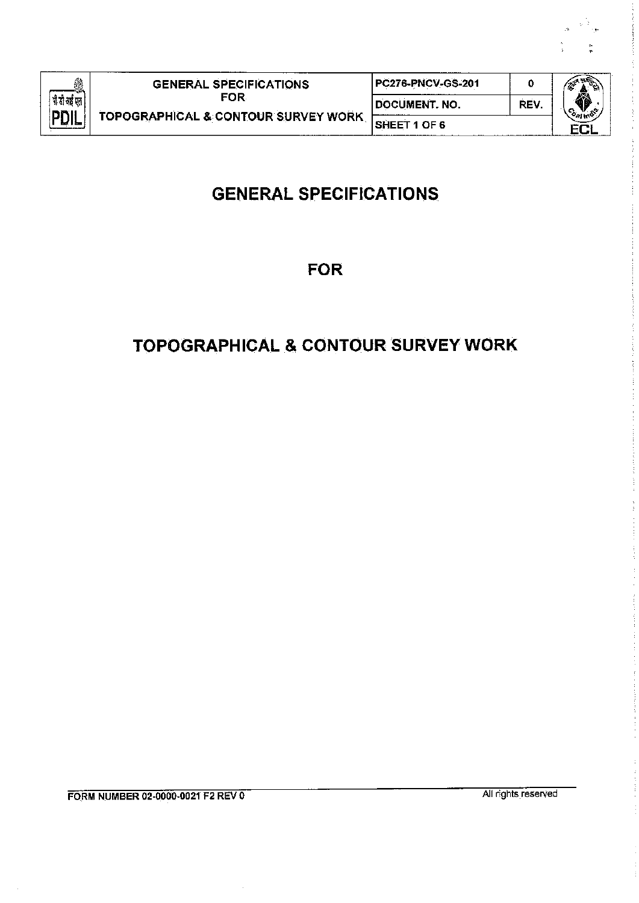| 劵     | <b>GENERAL SPECIFICATIONS</b>              | <b>PC276-PNCV-GS-201</b> |            | <b>TENTER</b>     |
|-------|--------------------------------------------|--------------------------|------------|-------------------|
|       | FOR<br>TOPOGRAPHICAL & CONTOUR SURVEY WORK | <b>IDOCUMENT, NO.</b>    | <b>REV</b> | $S_{\text{attn}}$ |
| 'PDIL |                                            | <b>SHEET 1 OF 6</b>      |            |                   |

# **GENERAL SPECIFICATIONS**

**FOR** 

# TOPOGRAPHICAL & CONTOUR SURVEY WORK

FORM NUMBER 02-0000-0021 F2 REV 0

All rights reserved

i<br>R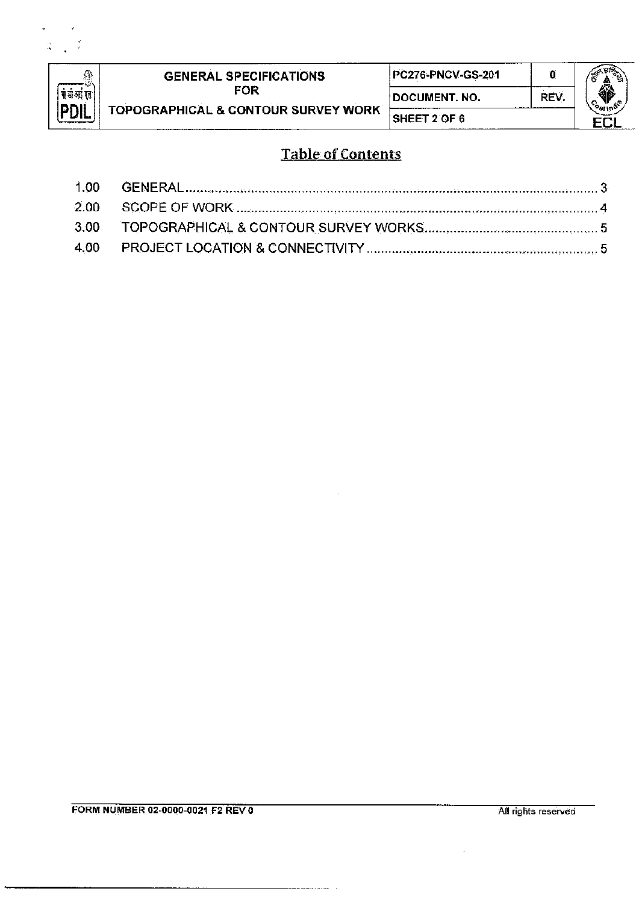

## **Table of Contents**

 $\mathcal{L}_{\mathcal{A}}$ 

 $\overline{\omega} = \frac{\pi}{2}$ 

J.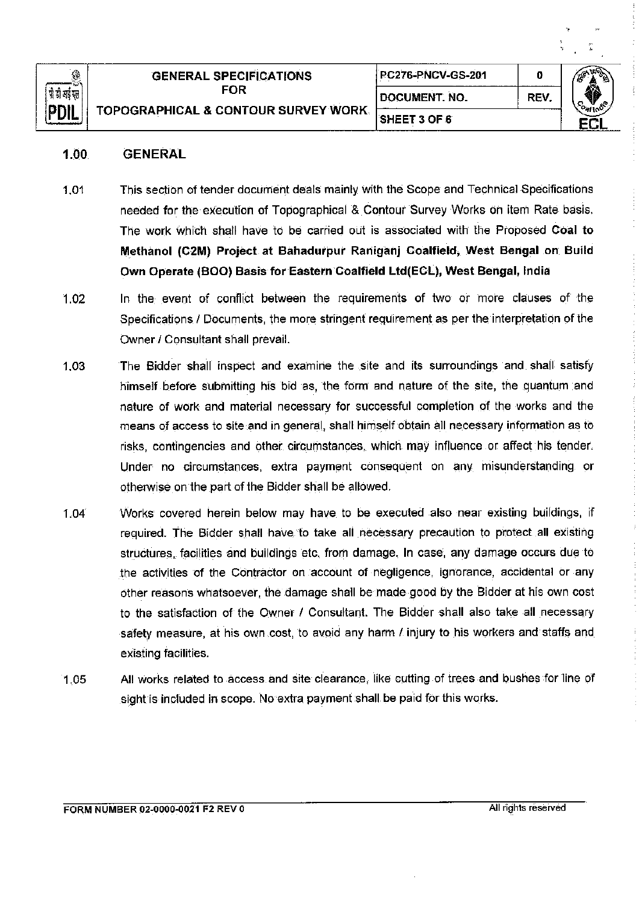| ٩          | <b>GENERAL SPECIFICATIONS</b>                          | <b>PC276-PNCV-GS-201</b>      |  |         |
|------------|--------------------------------------------------------|-------------------------------|--|---------|
|            | FOR<br><b>TOPOGRAPHICAL &amp; CONTOUR SURVEY WORK.</b> | <b>IDOCUMENT. NO.</b><br>REV. |  | á       |
| <b>PDI</b> |                                                        | <b>ISHEET 3 OF 6</b>          |  | ∽af le¤ |

#### $1.00$ **GENERAL**

- $1.01$ This section of tender document deals mainly with the Scope and Technical Specifications needed for the execution of Topographical & Contour Survey Works on item Rate basis. The work which shall have to be carried out is associated with the Proposed Coal to Methanol (C2M) Project at Bahadurpur Raniganj Coalfield, West Bengal on Build Own Operate (BOO) Basis for Eastern Coalfield Ltd(ECL), West Bengal, India
- $1.02$ In the event of conflict between the requirements of two or more clauses of the Specifications / Documents, the more stringent requirement as per the interpretation of the Owner / Consultant shall prevail.
- The Bidder shall inspect and examine the site and its surroundings and shall satisfy 1.03 himself before submitting his bid as, the form and nature of the site, the quantum and nature of work and material necessary for successful completion of the works and the means of access to site and in general, shall himself obtain all necessary information as to risks, contingencies and other circumstances, which may influence or affect his tender. Under no circumstances, extra payment consequent on any misunderstanding or otherwise on the part of the Bidder shall be allowed.
- $1.04$ Works covered herein below may have to be executed also near existing buildings, if required. The Bidder shall have to take all necessary precaution to protect all existing structures, facilities and buildings etc. from damage. In case, any damage occurs due to the activities of the Contractor on account of negligence, ignorance, accidental or any other reasons whatsoever, the damage shall be made good by the Bidder at his own cost to the satisfaction of the Owner / Consultant. The Bidder shall also take all necessary safety measure, at his own cost, to avoid any harm / injury to his workers and staffs and existing facilities.
- All works related to access and site clearance, like cutting of trees and bushes for line of  $1.05$ sight is included in scope. No extra payment shall be paid for this works.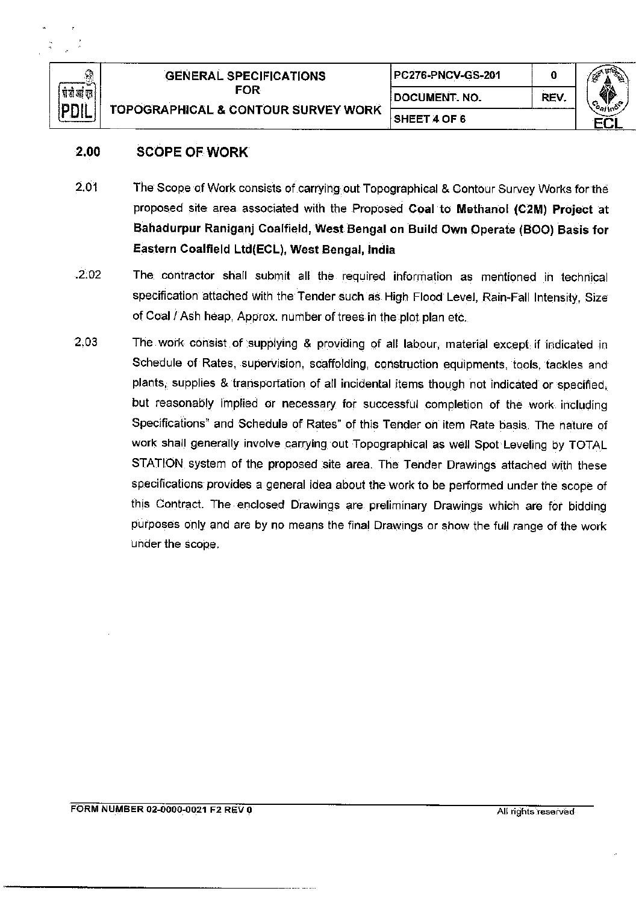



#### $2,00$ **SCOPE OF WORK**

- 2.01 The Scope of Work consists of carrying out Topographical & Contour Survey Works for the proposed site area associated with the Proposed Coal to Methanol (C2M) Project at Bahadurpur Raniganj Coalfield, West Bengal on Build Own Operate (BOO) Basis for Eastern Coalfield Ltd(ECL), West Bengal, India
- $.2.02$ The contractor shall submit all the required information as mentioned in technical specification attached with the Tender such as High Flood Level, Rain-Fall Intensity, Size of Coal / Ash heap, Approx. number of trees in the plot plan etc.
- $2.03$ The work consist of supplying & providing of all labour, material except if indicated in Schedule of Rates, supervision, scaffolding, construction equipments, tools, tackles and plants, supplies & transportation of all incidental items though not indicated or specified. but reasonably implied or necessary for successful completion of the work including Specifications" and Schedule of Rates" of this Tender on item Rate basis. The nature of work shall generally involve carrying out Topographical as well Spot Leveling by TOTAL STATION system of the proposed site area. The Tender Drawings attached with these specifications provides a general idea about the work to be performed under the scope of this Contract. The enclosed Drawings are preliminary Drawings which are for bidding purposes only and are by no means the final Drawings or show the full range of the work under the scope.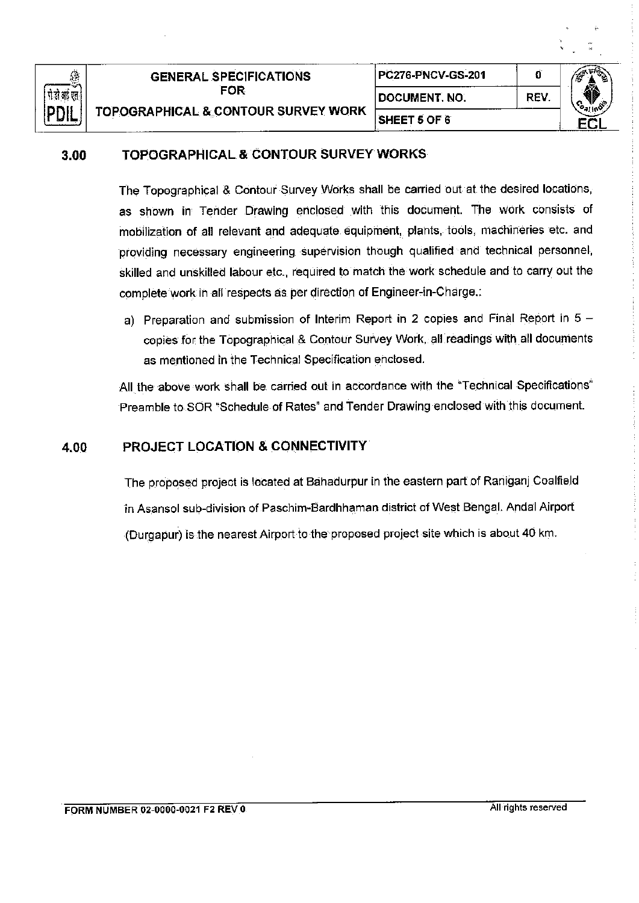| 偽 | <b>GENERAL SPECIFICATIONS</b>              | <b>PC276-PNCV-GS-201</b> |  |              |
|---|--------------------------------------------|--------------------------|--|--------------|
|   | FOR<br>TOPOGRAPHICAL & CONTOUR SURVEY WORK | REV.<br>I DOCUMENT. NO.  |  | 篽<br>eal log |
|   |                                            | <b>ISHEET 5 OF 6</b>     |  | Fr.          |

#### **TOPOGRAPHICAL & CONTOUR SURVEY WORKS** 3.00

The Topographical & Contour Survey Works shall be carried out at the desired locations, as shown in Tender Drawing enclosed with this document. The work consists of mobilization of all relevant and adequate equipment, plants, tools, machineries etc. and providing necessary engineering supervision though qualified and technical personnel, skilled and unskilled labour etc., required to match the work schedule and to carry out the complete work in all respects as per direction of Engineer-in-Charge.:

a) Preparation and submission of Interim Report in 2 copies and Final Report in 5 copies for the Topographical & Contour Survey Work, all readings with all documents as mentioned in the Technical Specification enclosed.

All the above work shall be carried out in accordance with the "Technical Specifications" Preamble to SOR "Schedule of Rates" and Tender Drawing enclosed with this document.

#### **PROJECT LOCATION & CONNECTIVITY** 4.00

The proposed project is located at Bahadurpur in the eastern part of Raniganj Coalfield in Asansol sub-division of Paschim-Bardhhaman district of West Bengal. Andal Airport (Durgapur) is the nearest Airport to the proposed project site which is about 40 km.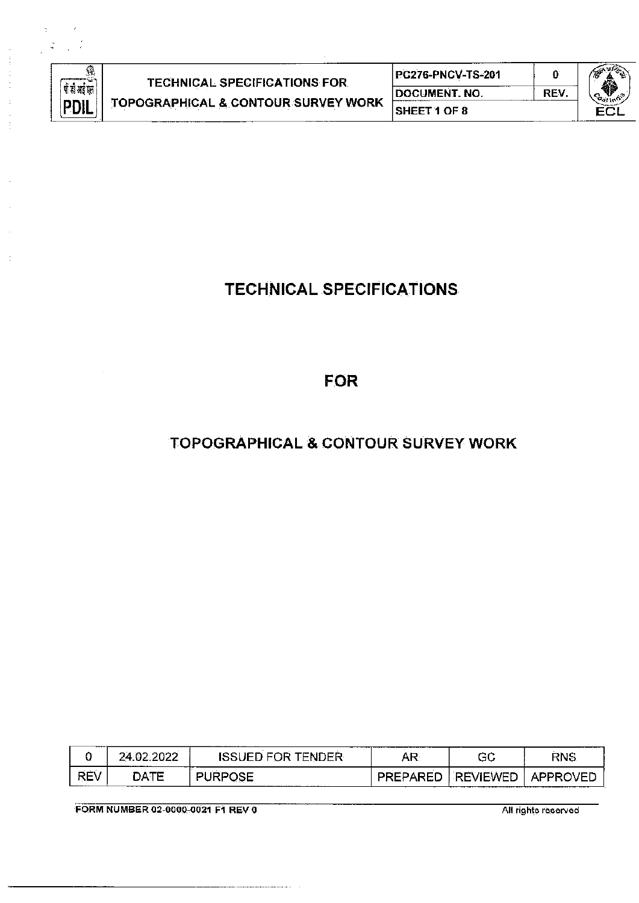| Ç    | <b>TECHNICAL SPECIFICATIONS FOR</b> | <b>PC276-PNCV-TS-201</b> |     | <b>1700 AVENUE</b>      |
|------|-------------------------------------|--------------------------|-----|-------------------------|
| 可能原  |                                     | <b>IDOCUMENT, NO.</b>    | REV | 篽<br>$c_{\text{attno}}$ |
| PDIL | TOPOGRAPHICAL & CONTOUR SURVEY WORK | <b>ISHEET 1 OF 8</b>     |     | ECL                     |

# **TECHNICAL SPECIFICATIONS**

**FOR** 

## TOPOGRAPHICAL & CONTOUR SURVEY WORK

| ----<br>v                                          | .<br>-------------          | ה<br>י⊑ו<br>. .<br>.<br><br>____ | יי ור | ∼<br>نافا           | DNC<br>טאו |
|----------------------------------------------------|-----------------------------|----------------------------------|-------|---------------------|------------|
| .<br>--<br>$\overline{\phantom{a}}$<br>◝┕<br>_____ | $-1$<br>JА<br>-<br>________ |                                  |       | ∽<br>. .<br>ww<br>_ |            |

FORM NUMBER 02-0000-0021 F1 REV 0

 $\mathcal{Z}=\mathcal{Z}$ 

 $\ddot{\cdot}$  $\frac{1}{2}$  $\frac{1}{2}$ 

J.

All rights reserved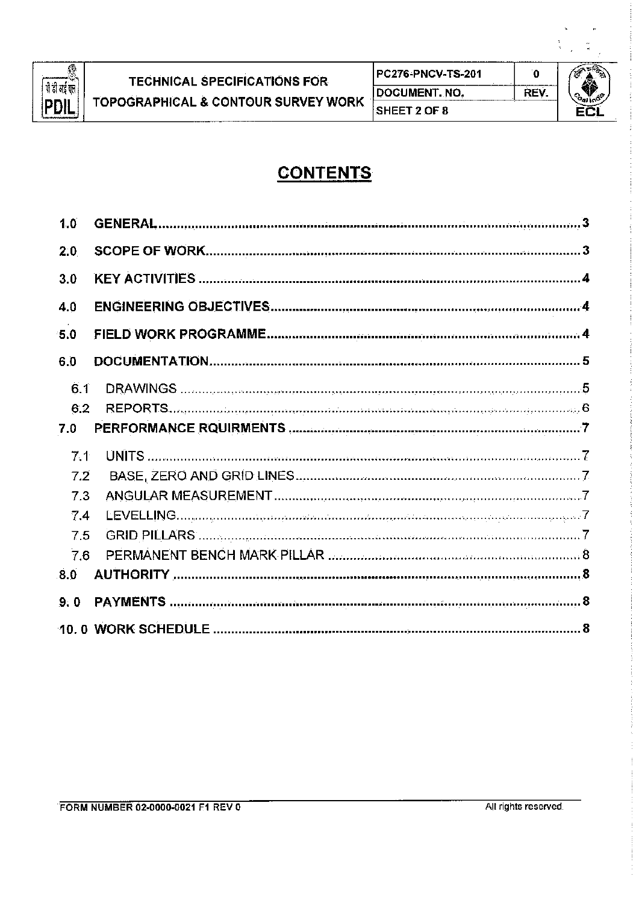

Ó

REV.

# **CONTENTS**

| 1.0               |  |
|-------------------|--|
| 2.0               |  |
| 3.0               |  |
| 4.0               |  |
| 5.0               |  |
| 6.0               |  |
| 6.1<br>6.2<br>7.0 |  |
| 7.1               |  |
| 7.2               |  |
| 7.3               |  |
| 7.4               |  |
| 7.5<br>7.6        |  |
| 8.0               |  |
| 9.0               |  |
|                   |  |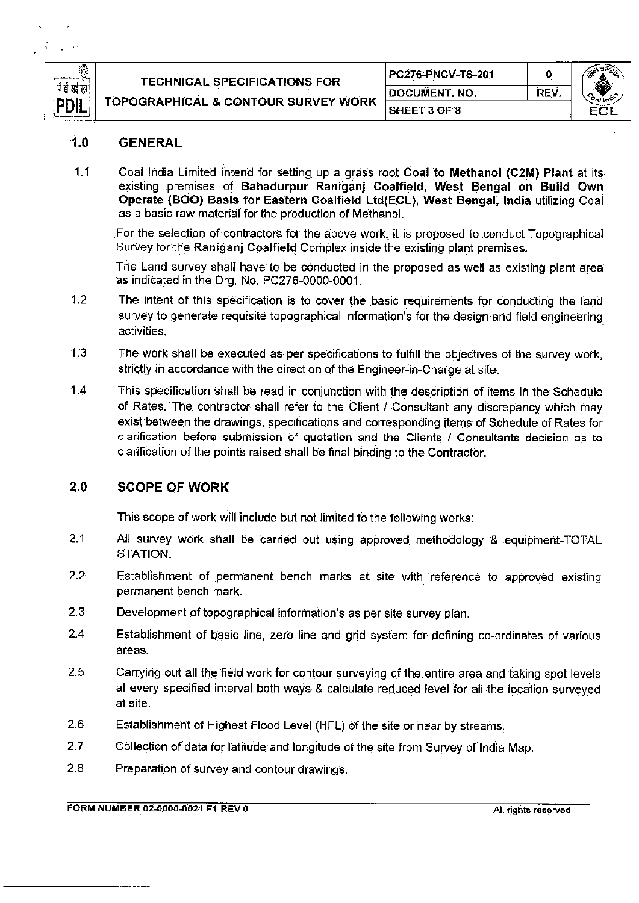|      | <b>TECHNICAL SPECIFICATIONS FOR</b><br><b>TOPOGRAPHICAL &amp; CONTOUR SURVEY WORK</b> | PC276-PNCV-TS-201 |            |                      |
|------|---------------------------------------------------------------------------------------|-------------------|------------|----------------------|
|      |                                                                                       | IDOCUMENT. NO.    | <b>REV</b> | 貓<br>$\leq$ at left. |
| PDII |                                                                                       | 'SHEET 3 OF 8     |            |                      |

#### $1.0$ **GENERAL**

 $1.1$ Coal India Limited intend for setting up a grass root Coal to Methanol (C2M) Plant at its existing premises of Bahadurpur Raniganj Coalfield, West Bengal on Build Own Operate (BOO) Basis for Eastern Coalfield Ltd(ECL), West Bengal, India utilizing Coal as a basic raw material for the production of Methanol.

For the selection of contractors for the above work, it is proposed to conduct Topographical Survey for the Ranigani Coalfield Complex inside the existing plant premises.

The Land survey shall have to be conducted in the proposed as well as existing plant area. as indicated in the Drg. No. PC276-0000-0001.

- $1.2$ The intent of this specification is to cover the basic requirements for conducting the land survey to generate requisite topographical information's for the design and field engineering activities.
- $1.3$ The work shall be executed as per specifications to fulfill the objectives of the survey work. strictly in accordance with the direction of the Engineer-in-Charge at site.
- $1.4$ This specification shall be read in conjunction with the description of items in the Schedule. of Rates. The contractor shall refer to the Client / Consultant any discrepancy which may exist between the drawings, specifications and corresponding items of Schedule of Rates for clarification before submission of quotation and the Clients / Consultants decision as to clarification of the points raised shall be final binding to the Contractor.

#### $2.0$ **SCOPE OF WORK**

This scope of work will include but not limited to the following works:

- $2.1$ All survey work shall be carried out using approved methodology & equipment-TOTAL STATION.
- $2.2<sub>2</sub>$ Establishment of permanent bench marks at site with reference to approved existing permanent bench mark.
- $2.3$ Development of topographical information's as per site survey plan.
- $2.4$ Establishment of basic line, zero line and grid system for defining co-ordinates of various areas.
- Carrying out all the field work for contour surveying of the entire area and taking spot levels  $2.5$ at every specified interval both ways & calculate reduced level for all the location surveyed at site.
- $26$ Establishment of Highest Flood Level (HFL) of the site or near by streams.
- $2.7$ Collection of data for latitude and longitude of the site from Survey of India Map.
- $2.8$ Preparation of survey and contour drawings.

FORM NUMBER 02-0000-0021 F1 RFV 0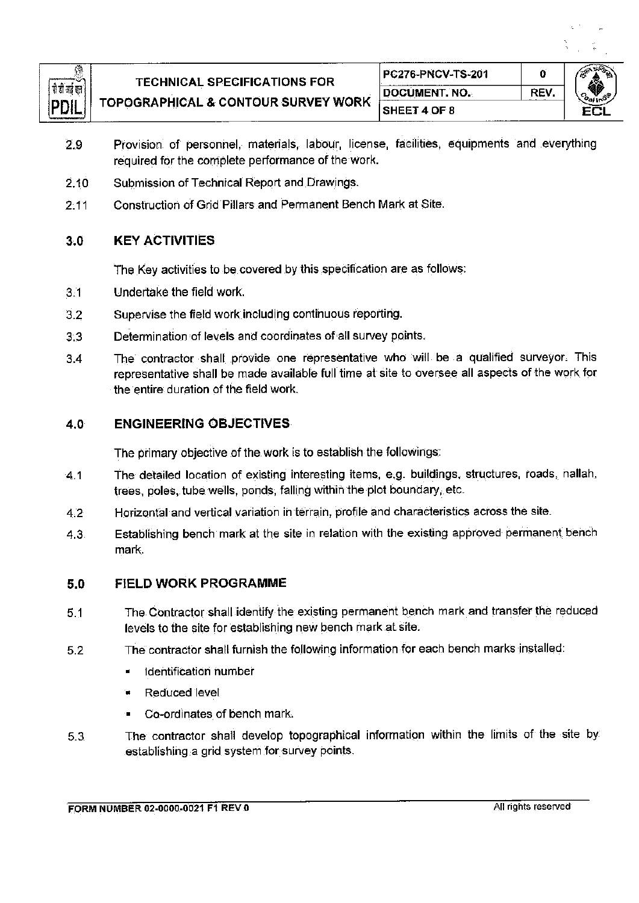

- Provision of personnel, materials, labour, license, facilities, equipments and everything 2.9 required for the complete performance of the work.
- Submission of Technical Report and Drawings. 2.10
- $2:11$ Construction of Grid Pillars and Permanent Bench Mark at Site.

#### $3.0$ **KEY ACTIVITIES**

The Key activities to be covered by this specification are as follows:

- Undertake the field work.  $3.1$
- $3.2$ Supervise the field work including continuous reporting.
- Determination of levels and coordinates of all survey points.  $3:3$
- The contractor shall provide one representative who will be a qualified surveyor. This  $3.4$ representative shall be made available full time at site to oversee all aspects of the work for the entire duration of the field work.

#### **ENGINEERING OBJECTIVES** 4.0

The primary objective of the work is to establish the followings:

- The detailed location of existing interesting items, e.g. buildings, structures, roads, nallah,  $4.1$ trees, poles, tube wells, ponds, falling within the plot boundary, etc.
- Horizontal and vertical variation in terrain, profile and characteristics across the site. 4.2
- Establishing bench mark at the site in relation with the existing approved permanent bench  $4.3.$ mark.

#### $5.0$ **FIELD WORK PROGRAMME**

- The Contractor shall identify the existing permanent bench mark and transfer the reduced  $5.1$ levels to the site for establishing new bench mark at site.
- The contractor shall furnish the following information for each bench marks installed:  $5.2$ 
	- Identification number  $\blacksquare$
	- **Reduced level**
	- Co-ordinates of bench mark.
- The contractor shall develop topographical information within the limits of the site by  $5.3$ establishing a grid system for survey points.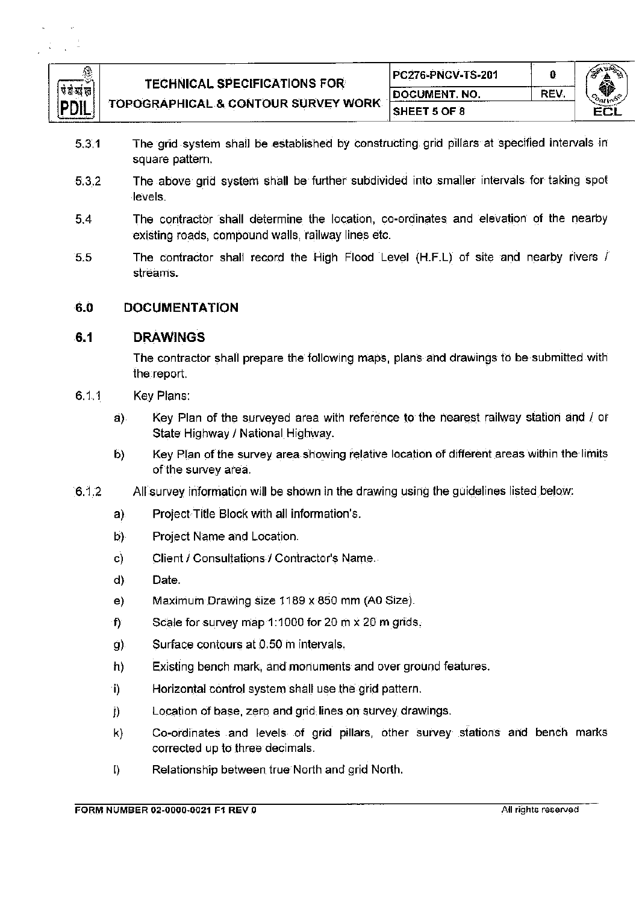



 $\mathbf{0}$ 

REV.

- The grid system shall be established by constructing grid pillars at specified intervals in 5.3.1 square pattern.
- The above grid system shall be further subdivided into smaller intervals for taking spot  $5.3.2$ levels
- The contractor shall determine the location, co-ordinates and elevation of the nearby 5.4 existing roads, compound walls, railway lines etc.
- $5.5$ The contractor shall record the High Flood Level (H.F.L) of site and nearby rivers  $\ell$ streams.

#### $6.0$ **DOCUMENTATION**

#### $6.1$ **DRAWINGS**

The contractor shall prepare the following maps, plans and drawings to be submitted with the report.

- 611 Key Plans:
	- Key Plan of the surveyed area with reference to the nearest railway station and / or  $a)$ State Highway / National Highway.
	- Key Plan of the survey area showing relative location of different areas within the limits  $b)$ of the survey area.
- $6.1.2$ All survey information will be shown in the drawing using the quidelines listed below.
	- Project Title Block with all information's.  $a)$
	- Project Name and Location.  $b)$
	- Client / Consultations / Contractor's Name.  $\overline{c}$
	- $d)$ Date.
	- Maximum Drawing size 1189 x 850 mm (A0 Size).  $e)$
	- Scale for survey map 1:1000 for 20 m x 20 m grids.  $\mathbf{f}$
	- Surface contours at 0.50 m intervals.  $\mathsf{q}$ ).
	- Existing bench mark, and monuments and over ground features. h)
	- ÎΪ. Horizontal control system shall use the grid pattern.
	- Location of base, zero and grid lines on survey drawings. j)
	- $\mathsf{k}$ Co-ordinates and levels of grid pillars, other survey stations and bench marks corrected up to three decimals.
	- $\mathbb{D}$ Relationship between true North and grid North.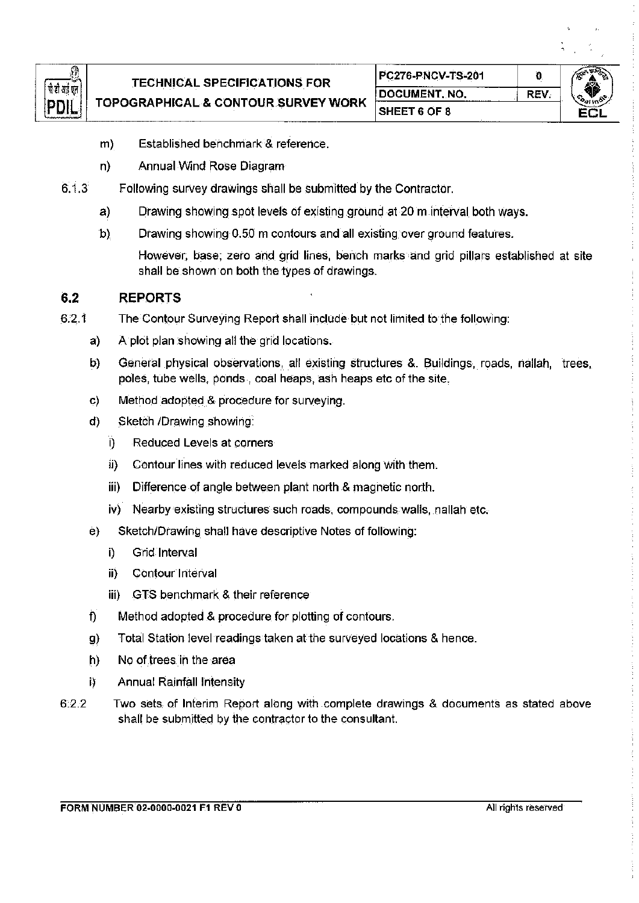

## **TECHNICAL SPECIFICATIONS FOR TOPOGRAPHICAL & CONTOUR SURVEY WORK**



 $\mathbf{0}$ 

REV.

- m) Established benchmark & reference.
- n) **Annual Wind Rose Diagram**
- $6.1.3$ Following survey drawings shall be submitted by the Contractor.
	- a) Drawing showing spot levels of existing ground at 20 m interval both ways.
	- $b)$ Drawing showing 0.50 m contours and all existing over ground features.

However, base; zero and grid lines, bench marks and grid pillars established at site shall be shown on both the types of drawings.

#### $6.2$ **REPORTS**

- $6.2.1$ The Contour Surveying Report shall include but not limited to the following:
	- A plot plan showing all the grid locations. a)
	- General physical observations, all existing structures & Buildings, roads, nallah, trees, b) poles, tube wells, ponds, coal heaps, ash heaps etc of the site.
	- Method adopted & procedure for surveying. C)
	- d) Sketch /Drawing showing:
		- ï). Reduced Levels at corners
		- Contour lines with reduced levels marked along with them. ii)
		- iii) Difference of angle between plant north & magnetic north.
		- iv) Nearby existing structures such roads, compounds walls, nallah etc.
	- $e)$ Sketch/Drawing shall have descriptive Notes of following:
		- $\mathbf{i}$ **Grid Interval**
		- Contour Interval ii).
		- iii) GTS benchmark & their reference
	- $\mathsf{\hat{f}}$ Method adopted & procedure for plotting of contours.
	- Total Station level readings taken at the surveyed locations & hence. g)
	- h) No of trees in the area
	- i) **Annual Rainfall Intensity**
- $6.2.2$ Two sets of Interim Report along with complete drawings & documents as stated above shall be submitted by the contractor to the consultant.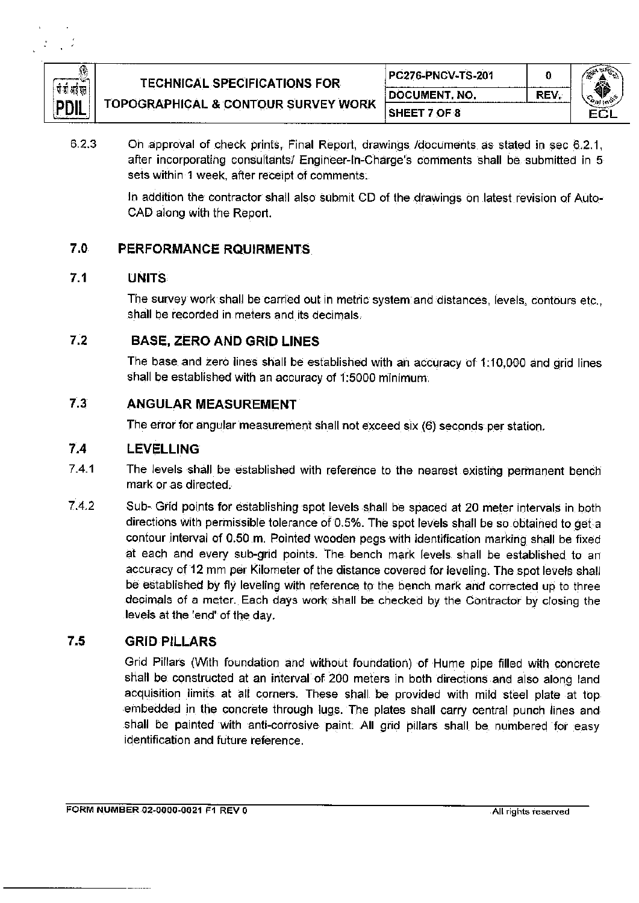



0

 $6.2.3$ On approval of check prints, Final Report, drawings /documents as stated in sec 6.2.1. after incorporating consultants/ Engineer-In-Charge's comments shall be submitted in 5 sets within 1 week, after receipt of comments.

> In addition the contractor shall also submit CD of the drawings on latest revision of Auto-CAD along with the Report.

#### $7.0$ **PERFORMANCE ROUIRMENTS**

#### $7.1$ **UNITS**

The survey work shall be carried out in metric system and distances, levels, contours etc., shall be recorded in meters and its decimals.

#### $7.2$ **BASE, ZERO AND GRID LINES**

The base and zero lines shall be established with an accuracy of 1:10,000 and grid lines shall be established with an accuracy of 1,5000 minimum.

#### $7.3$ **ANGULAR MEASUREMENT**

The error for angular measurement shall not exceed six (6) seconds per station.

#### $7.4$ **LEVELLING**

- $741$ The levels shall be established with reference to the nearest existing permanent bench mark or as directed.
- $7.4.2$ Sub- Grid points for establishing spot levels shall be spaced at 20 meter intervals in both directions with permissible tolerance of 0.5%. The spot levels shall be so obtained to get a contour interval of 0.50 m. Pointed wooden pegs with identification marking shall be fixed at each and every sub-grid points. The bench mark levels shall be established to an accuracy of 12 mm per Kilometer of the distance covered for leveling. The spot levels shall be established by fly leveling with reference to the bench mark and corrected up to three decimals of a meter. Each days work shall be checked by the Contractor by closing the levels at the 'end' of the day.

#### $7.5$ **GRID PILLARS**

Grid Pillars (With foundation and without foundation) of Hume pipe filled with concrete shall be constructed at an interval of 200 meters in both directions and also along land acquisition limits at all corners. These shall be provided with mild steel plate at top. embedded in the concrete through lugs. The plates shall carry central punch lines and shall be painted with anti-corrosive paint. All grid pillars shall be numbered for easy identification and future reference.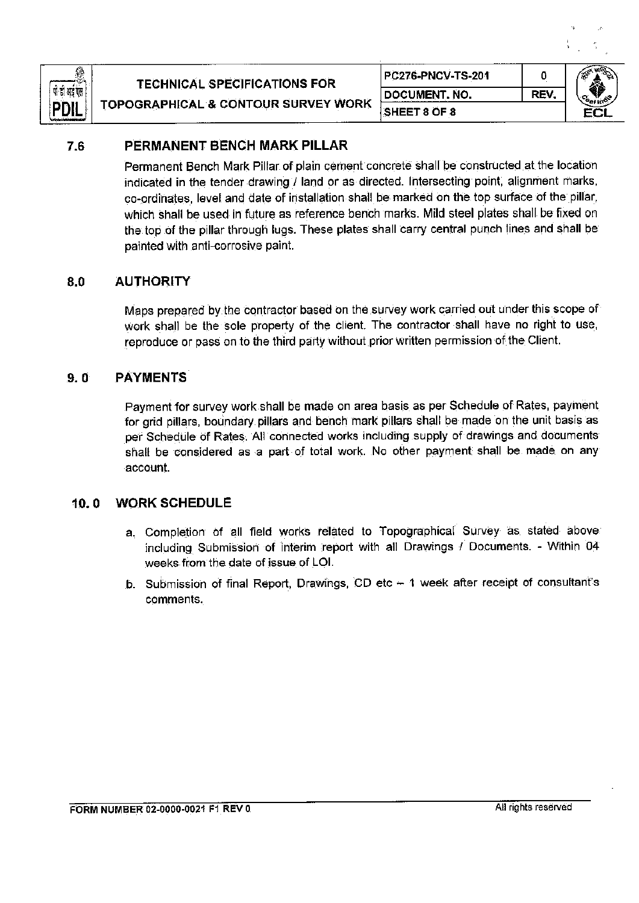

## **TECHNICAL SPECIFICATIONS FOR** TOPOGRAPHICAL & CONTOUR SURVEY WORK



Ő

REV.

#### 7.6 PERMANENT BENCH MARK PILLAR

Permanent Bench Mark Pillar of plain cement concrete shall be constructed at the location indicated in the tender drawing / land or as directed. Intersecting point, alignment marks, co-ordinates, level and date of installation shall be marked on the top surface of the pillar, which shall be used in future as reference bench marks. Mild steel plates shall be fixed on the top of the pillar through lugs. These plates shall carry central punch lines and shall be painted with anti-corrosive paint.

#### $8.0$ **AUTHORITY**

Maps prepared by the contractor based on the survey work carried out under this scope of work shall be the sole property of the client. The contractor shall have no right to use, reproduce or pass on to the third party without prior written permission of the Client.

#### $9.0$ **PAYMENTS**

Payment for survey work shall be made on area basis as per Schedule of Rates, payment for grid pillars, boundary pillars and bench mark pillars shall be made on the unit basis as per Schedule of Rates. All connected works including supply of drawings and documents shall be considered as a part of total work. No other payment shall be made on any account.

#### **WORK SCHEDULE**  $10.0$

- a. Completion of all field works related to Topographical Survey as stated above including Submission of interim report with all Drawings / Documents. - Within 04 weeks from the date of issue of LOI.
- b. Submission of final Report, Drawings, CD etc 1 week after receipt of consultant's comments.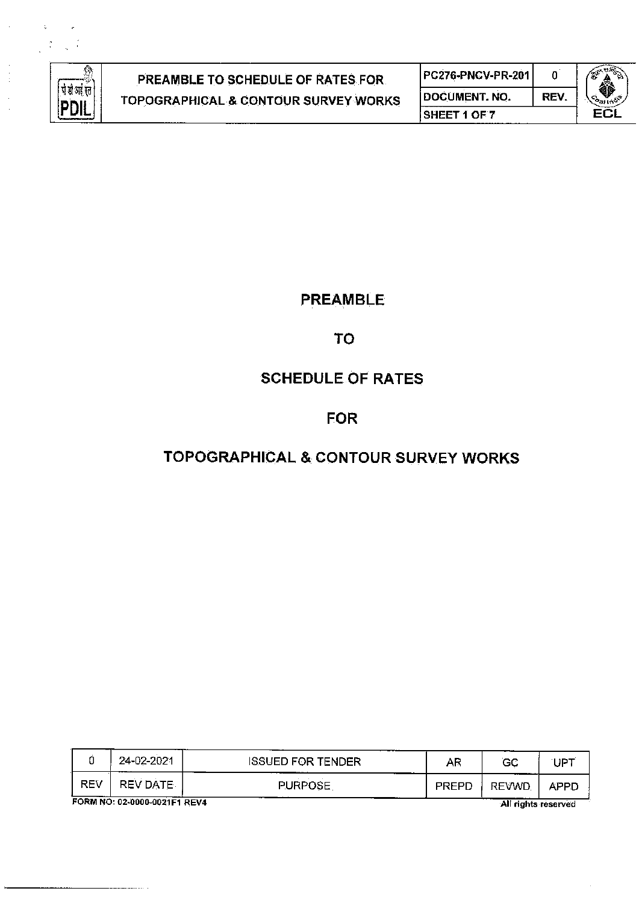

 $\mathcal{R} \subset \mathbb{R}^3$ 

**PC276-PNCV-PR-201**  $\mathbf{0}$ REV. **DOCUMENT. NO.** SHEET 1 OF 7



## **PREAMBLE**

## **TO**

## **SCHEDULE OF RATES**

## **FOR**

# TOPOGRAPHICAL & CONTOUR SURVEY WORKS

|                                                     | 24-02-2021 | <b>ISSUED FOR TENDER</b> | ΑR           | GC           | UPT         |
|-----------------------------------------------------|------------|--------------------------|--------------|--------------|-------------|
| <b>REV</b>                                          | REV DATE   | <b>PURPOSE</b>           | <b>PREPD</b> | <b>REVWD</b> | <b>APPD</b> |
| FORM NO: 02-0000-0021F1 REV4<br>All rights reserved |            |                          |              |              |             |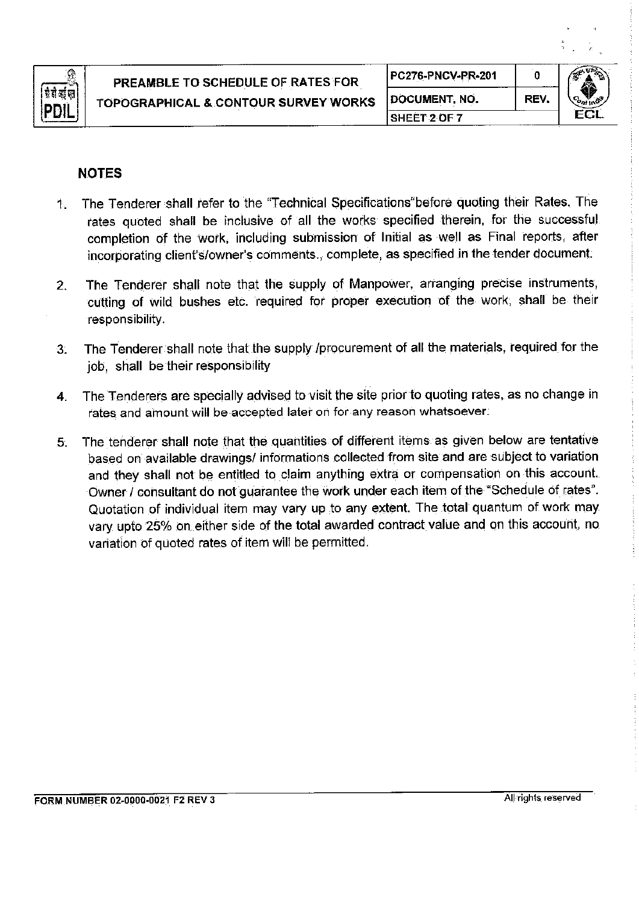



0

## **NOTES**

- The Tenderer shall refer to the "Technical Specifications"before quoting their Rates. The  $1$ rates quoted shall be inclusive of all the works specified therein, for the successful completion of the work, including submission of Initial as well as Final reports, after incorporating client's/owner's comments., complete, as specified in the tender document.
- The Tenderer shall note that the supply of Manpower, arranging precise instruments,  $2.$ cutting of wild bushes etc. required for proper execution of the work, shall be their responsibility.
- The Tenderer shall note that the supply /procurement of all the materials, required for the  $3<sub>1</sub>$ job, shall be their responsibility
- The Tenderers are specially advised to visit the site prior to quoting rates, as no change in  $4.$ rates and amount will be accepted later on for any reason whatsoever.
- The tenderer shall note that the quantities of different items as given below are tentative  $5^{\circ}$ based on available drawings/ informations collected from site and are subject to variation and they shall not be entitled to claim anything extra or compensation on this account. Owner / consultant do not guarantee the work under each item of the "Schedule of rates". Quotation of individual item may vary up to any extent. The total quantum of work may vary upto 25% on either side of the total awarded contract value and on this account, no variation of quoted rates of item will be permitted.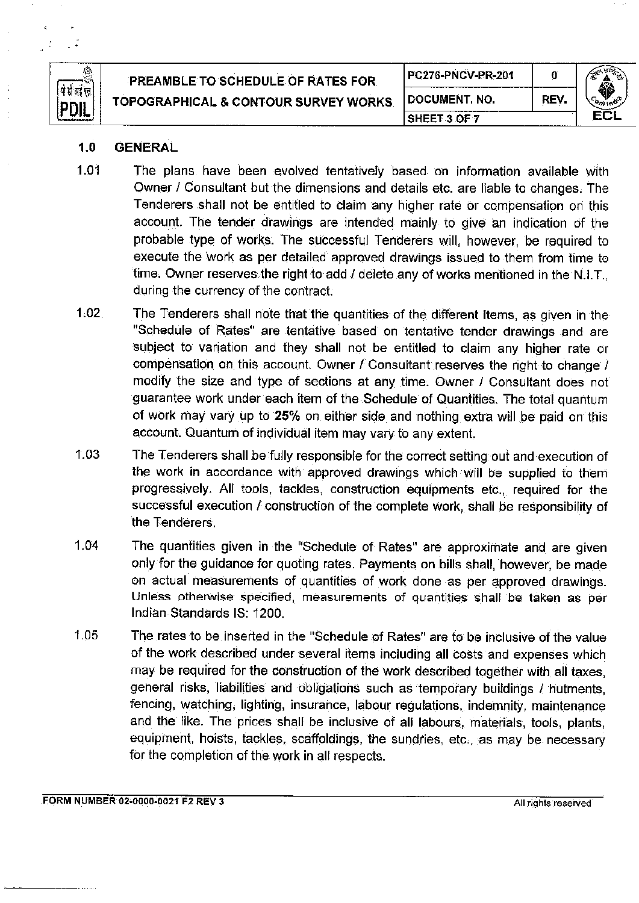

 $\frac{1}{2}$ 

 $\mathbb{R}^2$ 



#### $1.0$ **GENERAL**

- 1.01 The plans have been evolved tentatively based on information available with Owner / Consultant but the dimensions and details etc. are liable to changes. The Tenderers shall not be entitled to claim any higher rate or compensation on this account. The tender drawings are intended mainly to give an indication of the probable type of works. The successful Tenderers will, however, be required to execute the work as per detailed approved drawings issued to them from time to time. Owner reserves the right to add / delete any of works mentioned in the N.I.T.. during the currency of the contract.
- $1.02$ The Tenderers shall note that the quantities of the different Items, as given in the "Schedule of Rates" are tentative based on tentative tender drawings and are subject to variation and they shall not be entitled to claim any higher rate or compensation on this account. Owner / Consultant reserves the right to change / modify the size and type of sections at any time. Owner / Consultant does not guarantee work under each item of the Schedule of Quantities. The total quantum of work may vary up to 25% on either side and nothing extra will be paid on this account. Quantum of individual item may vary to any extent.
- $1.03$ The Tenderers shall be fully responsible for the correct setting out and execution of the work in accordance with approved drawings which will be supplied to them progressively. All tools, tackles, construction equipments etc., required for the successful execution / construction of the complete work, shall be responsibility of the Tenderers.
- $1.04$ The quantities given in the "Schedule of Rates" are approximate and are given only for the guidance for quoting rates. Payments on bills shall, however, be made on actual measurements of quantities of work done as per approved drawings. Unless otherwise specified, measurements of quantities shall be taken as per Indian Standards IS: 1200.
- 1.05 The rates to be inserted in the "Schedule of Rates" are to be inclusive of the value of the work described under several items including all costs and expenses which may be required for the construction of the work described together with all taxes. general risks, liabilities and obligations such as temporary buildings / hutments. fencing, watching, lighting, insurance, labour regulations, indemnity, maintenance and the like. The prices shall be inclusive of all labours, materials, tools, plants, equipment, hoists, tackles, scaffoldings, the sundries, etc., as may be necessary for the completion of the work in all respects.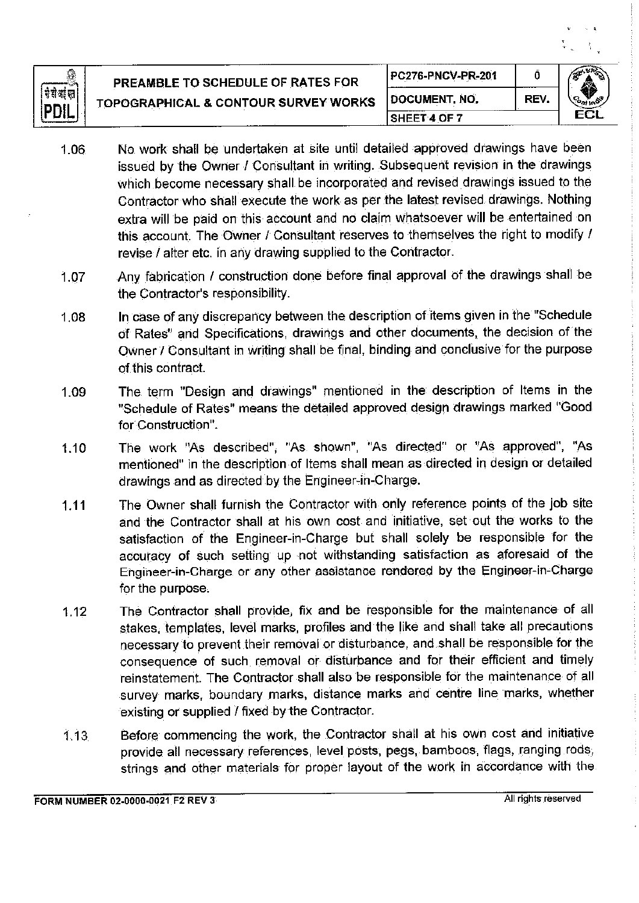



Ő

青

- No work shall be undertaken at site until detailed approved drawings have been 1.06 issued by the Owner / Consultant in writing. Subsequent revision in the drawings which become necessary shall be incorporated and revised drawings issued to the Contractor who shall execute the work as per the latest revised drawings. Nothing extra will be paid on this account and no claim whatsoever will be entertained on this account. The Owner / Consultant reserves to themselves the right to modify / revise / alter etc. in any drawing supplied to the Contractor.
- Any fabrication / construction done before final approval of the drawings shall be 1.07 the Contractor's responsibility.
- In case of any discrepancy between the description of items given in the "Schedule 1.08 of Rates" and Specifications, drawings and other documents, the decision of the Owner / Consultant in writing shall be final, binding and conclusive for the purpose of this contract.
- The term "Design and drawings" mentioned in the description of Items in the 1.09 "Schedule of Rates" means the detailed approved design drawings marked "Good. for Construction".
- The work "As described", "As shown", "As directed" or "As approved", "As  $1.10$ mentioned" in the description of Items shall mean as directed in design or detailed drawings and as directed by the Engineer-in-Charge.
- The Owner shall furnish the Contractor with only reference points of the job site  $1.11$ and the Contractor shall at his own cost and initiative, set out the works to the satisfaction of the Engineer-in-Charge but shall solely be responsible for the accuracy of such setting up not withstanding satisfaction as aforesaid of the Engineer-in-Charge or any other assistance rendered by the Engineer-in-Charge for the purpose.
- The Contractor shall provide, fix and be responsible for the maintenance of all  $1.12$ stakes, templates, level marks, profiles and the like and shall take all precautions necessary to prevent their removal or disturbance, and shall be responsible for the consequence of such removal or disturbance and for their efficient and timely reinstatement. The Contractor shall also be responsible for the maintenance of all survey marks, boundary marks, distance marks and centre line marks, whether existing or supplied / fixed by the Contractor.
- Before commencing the work, the Contractor shall at his own cost and initiative 1.13 provide all necessary references, level posts, pegs, bamboos, flags, ranging rods, strings and other materials for proper layout of the work in accordance with the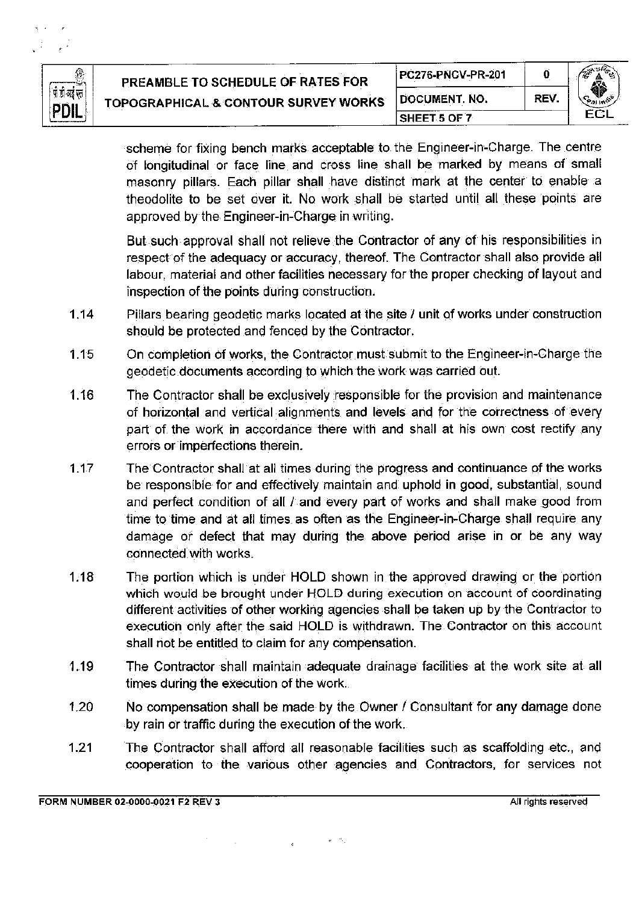



0

REV.

scheme for fixing bench marks acceptable to the Engineer-in-Charge. The centre of longitudinal or face line and cross line shall be marked by means of small masonry pillars. Each pillar shall have distinct mark at the center to enable a theodolite to be set over it. No work shall be started until all these points are approved by the Engineer-in-Charge in writing.

But such approval shall not relieve the Contractor of any of his responsibilities in respect of the adequacy or accuracy, thereof. The Contractor shall also provide all labour, material and other facilities necessary for the proper checking of layout and inspection of the points during construction.

- 1.14 Pillars bearing geodetic marks located at the site / unit of works under construction should be protected and fenced by the Contractor.
- On completion of works, the Contractor must submit to the Engineer-in-Charge the  $1.15$ geodetic documents according to which the work was carried out.
- 1.16 The Contractor shall be exclusively responsible for the provision and maintenance of horizontal and vertical alignments and levels and for the correctness of every part of the work in accordance there with and shall at his own cost rectify any errors or imperfections therein.
- $1.17$ The Contractor shall at all times during the progress and continuance of the works be responsible for and effectively maintain and uphold in good, substantial, sound and perfect condition of all / and every part of works and shall make good from time to time and at all times as often as the Engineer-in-Charge shall require any damage of defect that may during the above period arise in or be any way connected with works.
- $1.18$ The portion which is under HOLD shown in the approved drawing or the portion which would be brought under HOLD during execution on account of coordinating different activities of other working agencies shall be taken up by the Contractor to execution only after the said HOLD is withdrawn. The Contractor on this account shall not be entitled to claim for any compensation.
- 1.19 The Contractor shall maintain adequate drainage facilities at the work site at all times during the execution of the work.
- 1.20 No compensation shall be made by the Owner / Consultant for any damage done by rain or traffic during the execution of the work.
- $1.21$ The Contractor shall afford all reasonable facilities such as scaffolding etc., and cooperation to the various other agencies and Contractors, for services not

 $\varphi = \frac{d}{2}$ 

 $\sim 10$ 

 $\sim 10^{11}$